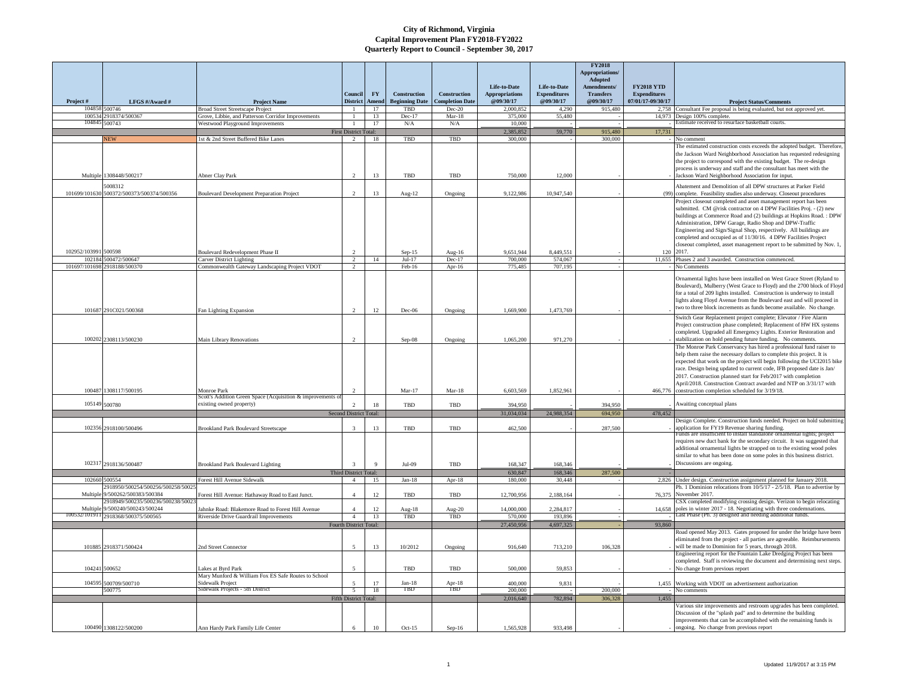|                         |                                                   |                                                                                             |                                    |                                 |                                       |                                        |                                    |                                  | <b>FY2018</b><br>Appropriations/ |                                          |                                                                                                                                                   |
|-------------------------|---------------------------------------------------|---------------------------------------------------------------------------------------------|------------------------------------|---------------------------------|---------------------------------------|----------------------------------------|------------------------------------|----------------------------------|----------------------------------|------------------------------------------|---------------------------------------------------------------------------------------------------------------------------------------------------|
|                         |                                                   |                                                                                             |                                    |                                 |                                       |                                        | Life-to-Date                       | Life-to-Date                     | Adopted<br>Amendments/           | <b>FY2018 YTD</b>                        |                                                                                                                                                   |
| Project#                | LFGS #/Award #                                    | <b>Project Name</b>                                                                         | Conneil<br><b>District</b>         | $\mathbf{F}\mathbf{Y}$<br>Amend | Construction<br><b>Beginning Date</b> | Construction<br><b>Completion Date</b> | <b>Appropriations</b><br>@09/30/17 | <b>Expenditures</b><br>@09/30/17 | <b>Transfers</b><br>@09/30/17    | <b>Expenditures</b><br>07/01/17-09/30/17 | <b>Project Status/Comments</b>                                                                                                                    |
|                         | 104858 500746                                     | <b>Broad Street Streetscape Project</b>                                                     |                                    | 17                              | TBD                                   | $Dec-20$                               | 2.000.85                           | 4.290                            | 915,480                          | 2758                                     | Consultant Fee proposal is being evaluated, but not approved yet.                                                                                 |
| 100534<br>10484         | 2918374/500367                                    | Grove, Libbie, and Patterson Corridor Improvements                                          |                                    | 13                              | Dec-17                                | $Mar-18$                               | 375,000                            | 55,480                           |                                  | 14.973                                   | Design 100% complete.<br>istimate received to resurface basketball courts.                                                                        |
|                         | 500743                                            | Westwood Playground Improvements                                                            | -1<br><b>First District Total:</b> | 17                              | N/A                                   | N/A                                    | 10.000<br>2.385.852                | 59,770                           | 915.480                          | 17,731                                   |                                                                                                                                                   |
|                         | <b>NEW</b>                                        | 1st & 2nd Street Buffered Bike Lanes                                                        | $\overline{2}$                     | 18                              | TBD                                   | TBD                                    | 300.000                            |                                  | 300.000                          |                                          | No comment                                                                                                                                        |
|                         |                                                   |                                                                                             |                                    |                                 |                                       |                                        |                                    |                                  |                                  |                                          | The estimated construction costs exceeds the adopted budget. Therefore                                                                            |
|                         |                                                   |                                                                                             |                                    |                                 |                                       |                                        |                                    |                                  |                                  |                                          | the Jackson Ward Neighborhood Association has requested redesigning                                                                               |
|                         |                                                   |                                                                                             |                                    |                                 |                                       |                                        |                                    |                                  |                                  |                                          | the project to correspond with the existing budget. The re-design<br>process is underway and staff and the consultant has meet with the           |
|                         | Multiple 1308448/500217                           | Abner Clay Park                                                                             |                                    | 13                              | TBD                                   | TBD                                    | 750,000                            | 12,000                           |                                  |                                          | lackson Ward Neighborhood Association for input.                                                                                                  |
|                         | 008312                                            |                                                                                             |                                    |                                 |                                       |                                        |                                    |                                  |                                  |                                          | Abatement and Demolition of all DPW structures at Parker Field                                                                                    |
| 101699/101630           | 500372/500373/500374/500356                       | Boulevard Development Preparation Project                                                   | $\overline{2}$                     | 13                              | Aug-12                                | Ongoing                                | 9.122.986                          | 10,947,540                       |                                  | (99)                                     | complete. Feasibility studies also underway. Closeout procedures                                                                                  |
|                         |                                                   |                                                                                             |                                    |                                 |                                       |                                        |                                    |                                  |                                  |                                          | Project closeout completed and asset management report has been                                                                                   |
|                         |                                                   |                                                                                             |                                    |                                 |                                       |                                        |                                    |                                  |                                  |                                          | submitted. CM @risk contractor on 4 DPW Facilities Proj. - (2) new<br>buildings at Commerce Road and (2) buildings at Hopkins Road.: DPW          |
|                         |                                                   |                                                                                             |                                    |                                 |                                       |                                        |                                    |                                  |                                  |                                          | Administration, DPW Garage, Radio Shop and DPW-Traffic                                                                                            |
|                         |                                                   |                                                                                             |                                    |                                 |                                       |                                        |                                    |                                  |                                  |                                          | Engineering and Sign/Signal Shop, respectively. All buildings are                                                                                 |
|                         |                                                   |                                                                                             |                                    |                                 |                                       |                                        |                                    |                                  |                                  |                                          | completed and occupied as of 11/30/16. 4 DPW Facilities Project                                                                                   |
| 102952/103991           | 500598                                            | Boulevard Redevelopment Phase II                                                            |                                    |                                 | $Sep-15$                              | $A119-16$                              | 9,651,944                          | 8,449,551                        |                                  | 120                                      | closeout completed, asset management report to be submitted by Nov. 1,<br>2017                                                                    |
| 102184                  | 500472/500647                                     | Carver District Lighting                                                                    | $\mathcal{D}$                      | 14                              | $Jul-17$                              | Dec-17                                 | 700,000                            | 574,067                          |                                  | 11.655                                   | Phases 2 and 3 awarded. Construction commenced.                                                                                                   |
| 101697/101698           | 918188/500370                                     | ommonwealth Gateway Landscaping Project VDOT                                                | $\gamma$                           |                                 | Feb-16                                | Apr-16                                 | 775.485                            | 707,195                          |                                  |                                          | No Comments                                                                                                                                       |
|                         |                                                   |                                                                                             |                                    |                                 |                                       |                                        |                                    |                                  |                                  |                                          | Ornamental lights have been installed on West Grace Street (Ryland to                                                                             |
|                         |                                                   |                                                                                             |                                    |                                 |                                       |                                        |                                    |                                  |                                  |                                          | Boulevard), Mulberry (West Grace to Floyd) and the 2700 block of Floyd                                                                            |
|                         |                                                   |                                                                                             |                                    |                                 |                                       |                                        |                                    |                                  |                                  |                                          | for a total of 209 lights installed. Construction is underway to install<br>lights along Floyd Avenue from the Boulevard east and will proceed in |
|                         |                                                   |                                                                                             |                                    |                                 |                                       |                                        |                                    |                                  |                                  |                                          | two to three block increments as funds become available. No change.                                                                               |
|                         | 101687 291C021/500368                             | Fan Lighting Expansion                                                                      | $\mathcal{D}$                      | 12                              | Dec-06                                | Ongoing                                | 1,669,900                          | 1,473,769                        |                                  |                                          | Switch Gear Replacement project complete; Elevator / Fire Alarm                                                                                   |
|                         |                                                   |                                                                                             |                                    |                                 |                                       |                                        |                                    |                                  |                                  |                                          | Project construction phase completed; Replacement of HW HX systems                                                                                |
|                         |                                                   |                                                                                             |                                    |                                 |                                       |                                        |                                    |                                  |                                  |                                          | completed. Upgraded all Emergency Lights. Exterior Restoration and                                                                                |
|                         | 100202 2308113/500230                             | Main Library Renovations                                                                    |                                    |                                 | $Sep-08$                              | Ongoing                                | 1,065,200                          | 971,270                          |                                  |                                          | stabilization on hold pending future funding. No comments.                                                                                        |
|                         |                                                   |                                                                                             |                                    |                                 |                                       |                                        |                                    |                                  |                                  |                                          | The Monroe Park Conservancy has hired a professional fund raiser to<br>help them raise the necessary dollars to complete this project. It is      |
|                         |                                                   |                                                                                             |                                    |                                 |                                       |                                        |                                    |                                  |                                  |                                          | expected that work on the project will begin following the UCI2015 bike                                                                           |
|                         |                                                   |                                                                                             |                                    |                                 |                                       |                                        |                                    |                                  |                                  |                                          | race. Design being updated to current code, IFB proposed date is Jan/                                                                             |
|                         |                                                   |                                                                                             |                                    |                                 |                                       |                                        |                                    |                                  |                                  |                                          | 2017. Construction planned start for Feb/2017 with completion<br>April/2018. Construction Contract awarded and NTP on 3/31/17 with                |
|                         | 100487 1308117/500195                             | <b>Monroe Park</b>                                                                          |                                    |                                 | $Mar-17$                              | $Mar-18$                               | 6,603,569                          | 1,852,961                        |                                  | 466,776                                  | construction completion scheduled for 3/19/18.                                                                                                    |
|                         |                                                   | cott's Addition Green Space (Acquisition & improven                                         |                                    |                                 |                                       |                                        |                                    |                                  |                                  |                                          |                                                                                                                                                   |
|                         | 105149 500780                                     | existing owned property)                                                                    | $\overline{2}$                     | 18                              | <b>TBD</b>                            | TBD                                    | 394.950                            |                                  | 394,950                          |                                          | Awaiting conceptual plans                                                                                                                         |
|                         |                                                   |                                                                                             | Second District Total:             |                                 |                                       |                                        | 31,034,034                         | 24,988,354                       | 694,950                          | 478,452                                  | Design Complete. Construction funds needed. Project on hold submitting                                                                            |
| 102356                  | 2918100/500496                                    | <b>Brookland Park Boulevard Streetscape</b>                                                 | $\overline{3}$                     | 13                              | TBD                                   | TBD                                    | 462,500                            |                                  | 287,500                          |                                          | application for FY19 Revenue sharing funding.                                                                                                     |
|                         |                                                   |                                                                                             |                                    |                                 |                                       |                                        |                                    |                                  |                                  |                                          | unds are insufficient to install standalone ornamental lights: project<br>requires new duct bank for the secondary circuit. It was suggested that |
|                         |                                                   |                                                                                             |                                    |                                 |                                       |                                        |                                    |                                  |                                  |                                          | additional ornamental lights be strapped on to the existing wood poles                                                                            |
|                         |                                                   |                                                                                             |                                    |                                 |                                       |                                        |                                    |                                  |                                  |                                          | similar to what has been done on some poles in this business district.                                                                            |
|                         | 102317 2918136/500487                             | Brookland Park Boulevard Lighting                                                           | $\overline{3}$                     | $\mathbf{Q}$                    | Jul-09                                | TBD                                    | 168,347                            | 168,346                          |                                  |                                          | Discussions are ongoing.                                                                                                                          |
|                         |                                                   |                                                                                             | Third District Total:              |                                 |                                       |                                        | 630,847                            | 168,346                          | 287,500                          |                                          |                                                                                                                                                   |
|                         | 102660 500554<br>918950/500254/500256/500258/5002 | Forest Hill Avenue Sidewalk                                                                 | $\mathbf{A}$                       | 15                              | $Jan-18$                              | Apr-18                                 | 180,000                            | 30,448                           |                                  | 2.826                                    | Under design. Construction assignment planned for January 2018.<br>Ph. 1 Dominion relocations from 10/5/17 - 2/5/18. Plan to advertise by         |
| Multiple                | 9/500262/500383/500384                            | Forest Hill Avenue: Hathaway Road to East Junct.                                            |                                    | 12                              | TBD                                   | TBD                                    | 12,700,956                         | 2,188,164                        |                                  | 76.375                                   | November 2017.                                                                                                                                    |
|                         | 2918949/500235/500236/500238/5002                 |                                                                                             |                                    |                                 |                                       |                                        |                                    |                                  |                                  |                                          | CSX completed modifying crossing design. Verizon to begin relocating                                                                              |
| Multiple<br>100532/1019 | 9/500240/500243/500244<br>2918368/500375/500565   | Jahnke Road: Blakemore Road to Forest Hill Avenue<br>Riverside Drive Guardrail Improvements | $\overline{4}$                     | 12<br>13                        | Aug- $18$<br>TBD                      | Aug-20<br>TBD                          | 14,000,000<br>570,000              | 2,284,817<br>193,896             |                                  | 14,658                                   | poles in winter 2017 - 18. Negotiating with three condemnations.<br>ast Phase (Ph. 3) designed and needing additional funds                       |
|                         |                                                   |                                                                                             | Fourth District Total:             |                                 |                                       |                                        | 27,450,956                         | 4,697,325                        |                                  | 93,860                                   |                                                                                                                                                   |
|                         |                                                   |                                                                                             |                                    |                                 |                                       |                                        |                                    |                                  |                                  |                                          | Road opened May 2013. Gates proposed for under the bridge have been                                                                               |
|                         |                                                   |                                                                                             |                                    |                                 |                                       |                                        |                                    |                                  |                                  |                                          | eliminated from the project - all parties are agreeable. Reimbursements                                                                           |
| 101885                  | 2918371/500424                                    | 2nd Street Connector                                                                        |                                    | 13                              | 10/2012                               | Ongoing                                | 916,640                            | 713,210                          | 106,328                          |                                          | will be made to Dominion for 5 years, through 2018.<br>Engineering report for the Fountain Lake Dredging Project has been                         |
|                         |                                                   |                                                                                             |                                    |                                 |                                       |                                        |                                    |                                  |                                  |                                          | completed. Staff is reviewing the document and determining next steps.                                                                            |
|                         | 104241 500652                                     | Lakes at Byrd Park                                                                          |                                    |                                 | TBD                                   | TBD                                    | 500,000                            | 59,853                           |                                  |                                          | No change from previous report                                                                                                                    |
|                         |                                                   | Mary Munford & William Fox ES Safe Routes to School                                         |                                    |                                 |                                       |                                        |                                    |                                  |                                  |                                          |                                                                                                                                                   |
|                         | 104595 500709/500710<br>500775                    | Sidewalk Project<br>Sidewalk Projects - 5th District                                        | -5                                 | 17<br>18                        | $Jan-18$<br>TBD                       | Apr-18<br>TBD.                         | 400,000<br>200,000                 | 9.831                            | 200,000                          | 1.455                                    | Working with VDOT on advertisement authorization<br>No comments                                                                                   |
|                         |                                                   |                                                                                             | Fifth District Total:              |                                 |                                       |                                        | 2.016.640                          | 782.894                          | 306.328                          | 1.455                                    |                                                                                                                                                   |
|                         |                                                   |                                                                                             |                                    |                                 |                                       |                                        |                                    |                                  |                                  |                                          | Various site improvements and restroom upgrades has been completed.                                                                               |
|                         |                                                   |                                                                                             |                                    |                                 |                                       |                                        |                                    |                                  |                                  |                                          | Discussion of the "splash pad" and to determine the building                                                                                      |
|                         | 100490 1308122/500200                             | Ann Hardy Park Family Life Center                                                           |                                    | $10\,$                          | $Oct-15$                              | $Sep-16$                               | 1,565,928                          | 933,498                          |                                  |                                          | improvements that can be accomplished with the remaining funds is<br>ongoing. No change from previous report                                      |
|                         |                                                   |                                                                                             |                                    |                                 |                                       |                                        |                                    |                                  |                                  |                                          |                                                                                                                                                   |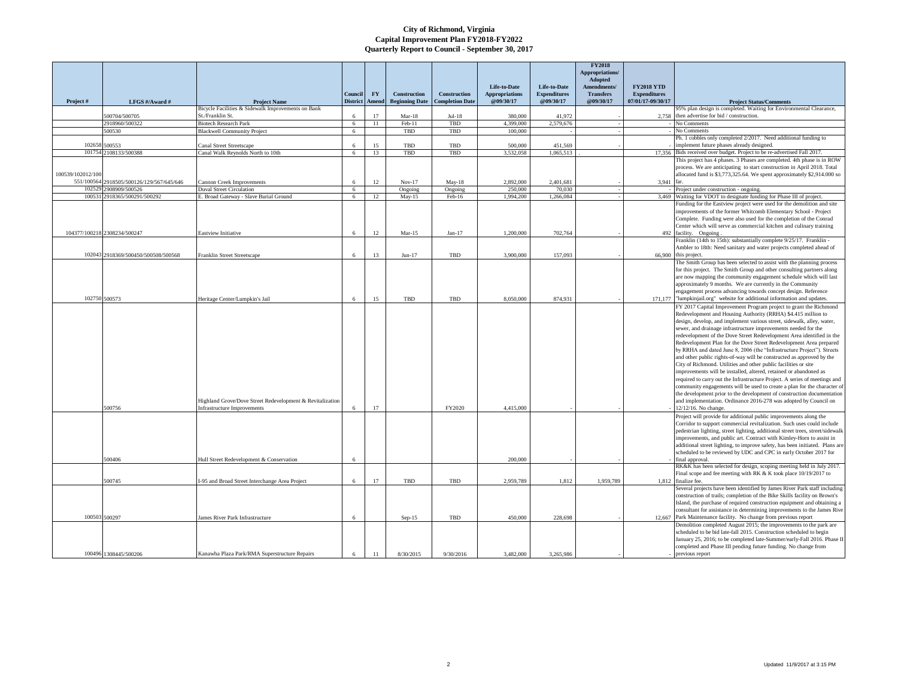|                      |                                                  |                                                                           |                      |           |                       |                        |                                       |                                     | <b>FY2018</b><br>Appropriations/<br>Adopted |                                          |                                                                                                                                                          |
|----------------------|--------------------------------------------------|---------------------------------------------------------------------------|----------------------|-----------|-----------------------|------------------------|---------------------------------------|-------------------------------------|---------------------------------------------|------------------------------------------|----------------------------------------------------------------------------------------------------------------------------------------------------------|
|                      |                                                  |                                                                           | Council              | <b>FY</b> | Construction          | <b>Construction</b>    | Life-to-Date<br><b>Appropriations</b> | Life-to-Date<br><b>Expenditures</b> | <b>Amendments</b><br><b>Transfers</b>       | <b>FY2018 YTD</b><br><b>Expenditures</b> |                                                                                                                                                          |
| Project#             | LFGS #/Award #                                   | <b>Project Name</b>                                                       | <b>District</b>      | Amend     | <b>Beginning Date</b> | <b>Completion Date</b> | @09/30/17                             | @09/30/17                           | @09/30/17                                   | 07/01/17-09/30/17                        | <b>Project Status/Comments</b>                                                                                                                           |
|                      | 500704/500705                                    | Bicycle Facilities & Sidewalk Improvements on Bank<br>St./Franklin St.    | 6                    | 17        | $Mar-18$              | $Jul-18$               | 380.000                               | 41.972                              |                                             | 2,758                                    | 95% plan design is completed. Waiting for Environmental Clearance,<br>then advertise for bid / construction.                                             |
|                      | 2918960/500322                                   | <b>Biotech Research Park</b>                                              | 6                    | 11        | Feb-11                | TBD                    | 4,399,000                             | 2,579,676                           |                                             |                                          | No Comments                                                                                                                                              |
|                      | 500530                                           | <b>Blackwell Community Project</b>                                        | $6\overline{6}$      |           | TBD                   | TBD                    | 100,000                               |                                     |                                             |                                          | No Comments                                                                                                                                              |
|                      |                                                  |                                                                           |                      |           |                       |                        |                                       |                                     |                                             |                                          | Ph. 1 cobbles only completed 2/2017. Need additional funding to                                                                                          |
| 102658               | 500553                                           | Canal Street Streetscape                                                  | 6                    | 15        | TBD                   | TBD                    | 500,000                               | 451.569                             |                                             |                                          | implement future phases already designed.                                                                                                                |
|                      | 101754 2108133/500388                            | Canal Walk Reynolds North to 10th                                         | $6\overline{6}$      | 13        | TBD                   | <b>TBD</b>             | 3.532.058                             | 1,065,513                           |                                             |                                          | 17,356 Bids received over budget. Project to be re-advertised Fall 2017.                                                                                 |
|                      |                                                  |                                                                           |                      |           |                       |                        |                                       |                                     |                                             |                                          | This project has 4 phases. 3 Phases are completed. 4th phase is in ROW<br>process. We are anticipating to start construction in April 2018. Total        |
| 100539/102012/100    |                                                  |                                                                           |                      |           |                       |                        |                                       |                                     |                                             |                                          | allocated fund is \$3,773,325.64. We spent approximately \$2,914.000 so                                                                                  |
| 551/100564<br>102529 | 2918505/500126/129/567/645/646<br>2908909/500526 | Cannon Creek Improvements                                                 | 6                    | 12        | $Nov-17$              | $Mav-18$               | 2,892,000<br>250,000                  | 2.401.681<br>70,030                 |                                             | 3,941                                    | far.                                                                                                                                                     |
| 100531               | 2918365/500291/500292                            | <b>Duval Street Circulation</b><br>E. Broad Gateway - Slave Burial Ground | $6\overline{6}$<br>6 | 12        | Ongoing<br>$May-15$   | Ongoing<br>Feb-16      | 1.994.200                             | 1.266,084                           |                                             |                                          | Project under construction - ongoing.<br>3,469 Waiting for VDOT to designate funding for Phase III of project.                                           |
|                      |                                                  |                                                                           |                      |           |                       |                        |                                       |                                     |                                             |                                          | Funding for the Eastview project were used for the demolition and site                                                                                   |
|                      |                                                  |                                                                           |                      |           |                       |                        |                                       |                                     |                                             |                                          | improvements of the former Whitcomb Elementary School - Project                                                                                          |
|                      |                                                  |                                                                           |                      |           |                       |                        |                                       |                                     |                                             |                                          | Complete. Funding were also used for the completion of the Conrad                                                                                        |
|                      |                                                  |                                                                           |                      |           |                       |                        |                                       |                                     |                                             |                                          | Center which will serve as commercial kitchen and culinary training                                                                                      |
|                      | 104377/100218 2308234/500247                     | Eastview Initiative                                                       | 6                    | 12        | $Mar-15$              | $Jan-17$               | 1.200.000                             | 702,764                             |                                             | 492                                      | facility. Ongoing                                                                                                                                        |
|                      |                                                  |                                                                           |                      |           |                       |                        |                                       |                                     |                                             |                                          | Franklin (14th to 15th): substantially complete 9/25/17. Franklin                                                                                        |
|                      |                                                  |                                                                           |                      |           |                       |                        |                                       |                                     |                                             |                                          | Ambler to 18th: Need sanitary and water projects completed ahead of                                                                                      |
|                      | 102043 2918369/500450/500508/500568              | Franklin Street Streetscape                                               | 6                    | 13        | $Jun-17$              | TBD                    | 3,900,000                             | 157,093                             |                                             | 66,900                                   | this project                                                                                                                                             |
|                      |                                                  |                                                                           |                      |           |                       |                        |                                       |                                     |                                             |                                          | The Smith Group has been selected to assist with the planning process                                                                                    |
|                      |                                                  |                                                                           |                      |           |                       |                        |                                       |                                     |                                             |                                          | for this project. The Smith Group and other consulting partners along                                                                                    |
|                      |                                                  |                                                                           |                      |           |                       |                        |                                       |                                     |                                             |                                          | are now mapping the community engagement schedule which will last                                                                                        |
|                      |                                                  |                                                                           |                      |           |                       |                        |                                       |                                     |                                             |                                          | approximately 9 months. We are currently in the Community                                                                                                |
|                      | 102750 500573                                    |                                                                           |                      |           |                       | TBD                    | 8,050,000                             | 874.931                             |                                             |                                          | engagement process advancing towards concept design. Reference<br>"lumpkinjail.org" website for additional information and updates                       |
|                      |                                                  | Heritage Center/Lumpkin's Jail                                            | 6                    | 15        | TBD                   |                        |                                       |                                     |                                             | 171.177                                  |                                                                                                                                                          |
|                      |                                                  |                                                                           |                      |           |                       |                        |                                       |                                     |                                             |                                          | FY 2017 Capital Improvement Program project to grant the Richmond<br>Redevelopment and Housing Authority (RRHA) \$4.415 million to                       |
|                      |                                                  |                                                                           |                      |           |                       |                        |                                       |                                     |                                             |                                          | design, develop, and implement various street, sidewalk, alley, water,                                                                                   |
|                      |                                                  |                                                                           |                      |           |                       |                        |                                       |                                     |                                             |                                          | sewer, and drainage infrastructure improvements needed for the                                                                                           |
|                      |                                                  |                                                                           |                      |           |                       |                        |                                       |                                     |                                             |                                          | redevelopment of the Dove Street Redevelopment Area identified in the                                                                                    |
|                      |                                                  |                                                                           |                      |           |                       |                        |                                       |                                     |                                             |                                          | Redevelopment Plan for the Dove Street Redevelopment Area prepared                                                                                       |
|                      |                                                  |                                                                           |                      |           |                       |                        |                                       |                                     |                                             |                                          | by RRHA and dated June 8, 2006 (the "Infrastructure Project"). Streets                                                                                   |
|                      |                                                  |                                                                           |                      |           |                       |                        |                                       |                                     |                                             |                                          | and other public rights-of-way will be constructed as approved by the                                                                                    |
|                      |                                                  |                                                                           |                      |           |                       |                        |                                       |                                     |                                             |                                          | City of Richmond. Utilities and other public facilities or site                                                                                          |
|                      |                                                  |                                                                           |                      |           |                       |                        |                                       |                                     |                                             |                                          | improvements will be installed, altered, retained or abandoned as                                                                                        |
|                      |                                                  |                                                                           |                      |           |                       |                        |                                       |                                     |                                             |                                          | required to carry out the Infrastructure Project. A series of meetings and                                                                               |
|                      |                                                  |                                                                           |                      |           |                       |                        |                                       |                                     |                                             |                                          | community engagements will be used to create a plan for the character of                                                                                 |
|                      |                                                  |                                                                           |                      |           |                       |                        |                                       |                                     |                                             |                                          | the development prior to the development of construction documentation                                                                                   |
|                      |                                                  | Highland Grove/Dove Street Redevelopment & Revitalization                 |                      |           |                       |                        |                                       |                                     |                                             |                                          | and implementation. Ordinance 2016-278 was adopted by Council on                                                                                         |
|                      | 500756                                           | <b>Infrastructure Improvements</b>                                        | 6                    | 17        |                       | FY2020                 | 4,415,000                             |                                     |                                             |                                          | 12/12/16. No change.                                                                                                                                     |
|                      |                                                  |                                                                           |                      |           |                       |                        |                                       |                                     |                                             |                                          | Project will provide for additional public improvements along the                                                                                        |
|                      |                                                  |                                                                           |                      |           |                       |                        |                                       |                                     |                                             |                                          | Corridor to support commercial revitalization. Such uses could include<br>pedestrian lighting, street lighting, additional street trees, street/sidewalk |
|                      |                                                  |                                                                           |                      |           |                       |                        |                                       |                                     |                                             |                                          | improvements, and public art. Contract with Kimley-Horn to assist in                                                                                     |
|                      |                                                  |                                                                           |                      |           |                       |                        |                                       |                                     |                                             |                                          | additional street lighting, to improve safety, has been initiated. Plans are                                                                             |
|                      |                                                  |                                                                           |                      |           |                       |                        |                                       |                                     |                                             |                                          | scheduled to be reviewed by UDC and CPC in early October 2017 for                                                                                        |
|                      | 500406                                           | Hull Street Redevelopment & Conservation                                  | 6                    |           |                       |                        | 200,000                               |                                     |                                             |                                          | final approval.                                                                                                                                          |
|                      |                                                  |                                                                           |                      |           |                       |                        |                                       |                                     |                                             |                                          | RK&K has been selected for design, scoping meeting held in July 2017.                                                                                    |
|                      |                                                  |                                                                           |                      |           |                       |                        |                                       |                                     |                                             |                                          | Final scope and fee meeting with RK & K took place 10/19/2017 to                                                                                         |
|                      | 500745                                           | I-95 and Broad Street Interchange Area Project                            | 6                    | 17        | TBD                   | TBD                    | 2.959.789                             | 1.812                               | 1.959.789                                   | 1.812                                    | finalize fee.                                                                                                                                            |
|                      |                                                  |                                                                           |                      |           |                       |                        |                                       |                                     |                                             |                                          | Several projects have been identified by James River Park staff including                                                                                |
|                      |                                                  |                                                                           |                      |           |                       |                        |                                       |                                     |                                             |                                          | construction of trails; completion of the Bike Skills facility on Brown's                                                                                |
|                      |                                                  |                                                                           |                      |           |                       |                        |                                       |                                     |                                             |                                          | Island, the purchase of required construction equipment and obtaining a                                                                                  |
|                      |                                                  |                                                                           |                      |           |                       |                        |                                       |                                     |                                             |                                          | consultant for assistance in determining improvements to the James Rive                                                                                  |
|                      | 100503 500297                                    | ames River Park Infrastructure                                            | 6                    |           | $Sep-15$              | TBD                    | 450,000                               | 228,698                             |                                             | 12.667                                   | Park Maintenance facility. No change from previous report                                                                                                |
|                      |                                                  |                                                                           |                      |           |                       |                        |                                       |                                     |                                             |                                          | Demolition completed August 2015; the improvements to the park are                                                                                       |
|                      |                                                  |                                                                           |                      |           |                       |                        |                                       |                                     |                                             |                                          | scheduled to be bid late-fall 2015. Construction scheduled to begin<br>January 25, 2016; to be completed late-Summer/early-Fall 2016. Phase II           |
|                      |                                                  |                                                                           |                      |           |                       |                        |                                       |                                     |                                             |                                          | completed and Phase III pending future funding. No change from                                                                                           |
|                      | 100496 1308445/500206                            | Kanawha Plaza Park/RMA Superstructure Repairs                             | 6                    | $11\,$    | 8/30/2015             | 9/30/2016              | 3,482,000                             | 3,265,986                           |                                             |                                          | previous report                                                                                                                                          |
|                      |                                                  |                                                                           |                      |           |                       |                        |                                       |                                     |                                             |                                          |                                                                                                                                                          |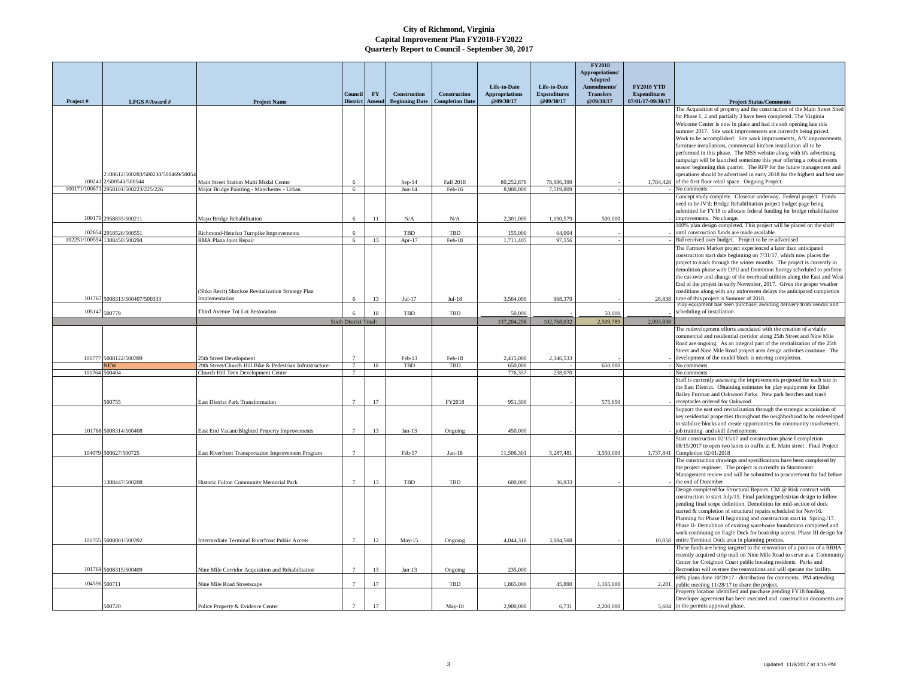|                         |                                           |                                                                                      |                            |                           |                                       |                                        |                                    |                                  | <b>FY2018</b><br>Appropriations/<br>Adopted |                                          |                                                                                                                                                      |
|-------------------------|-------------------------------------------|--------------------------------------------------------------------------------------|----------------------------|---------------------------|---------------------------------------|----------------------------------------|------------------------------------|----------------------------------|---------------------------------------------|------------------------------------------|------------------------------------------------------------------------------------------------------------------------------------------------------|
|                         |                                           |                                                                                      |                            |                           |                                       |                                        | Life-to-Date                       | Life-to-Date                     | Amendments/                                 | <b>FY2018 YTD</b>                        |                                                                                                                                                      |
| Project#                | LFGS #/Award #                            | <b>Project Name</b>                                                                  | Council<br><b>District</b> | ${\bf F}{\bf Y}$<br>Amend | Construction<br><b>Beginning Date</b> | Construction<br><b>Completion Date</b> | <b>Appropriations</b><br>@09/30/17 | <b>Expenditures</b><br>@09/30/17 | <b>Transfers</b><br>@09/30/17               | <b>Expenditures</b><br>07/01/17-09/30/17 | <b>Project Status/Comments</b>                                                                                                                       |
|                         |                                           |                                                                                      |                            |                           |                                       |                                        |                                    |                                  |                                             |                                          | The Acquisition of property and the construction of the Main Street Shed                                                                             |
|                         |                                           |                                                                                      |                            |                           |                                       |                                        |                                    |                                  |                                             |                                          | for Phase 1, 2 and partially 3 have been completed. The Virginia                                                                                     |
|                         |                                           |                                                                                      |                            |                           |                                       |                                        |                                    |                                  |                                             |                                          | Welcome Center is now in place and had it's soft opening late this<br>summer 2017. Site work improvements are currently being priced.                |
|                         |                                           |                                                                                      |                            |                           |                                       |                                        |                                    |                                  |                                             |                                          | Work to be accomplished: Site work improvements, A/V improvements,                                                                                   |
|                         |                                           |                                                                                      |                            |                           |                                       |                                        |                                    |                                  |                                             |                                          | furniture installations, commercial kitchen installation all to be                                                                                   |
|                         |                                           |                                                                                      |                            |                           |                                       |                                        |                                    |                                  |                                             |                                          | performed in this phase. The MSS website along with it's advertising<br>campaign will be launched sometime this year offering a robust events        |
|                         |                                           |                                                                                      |                            |                           |                                       |                                        |                                    |                                  |                                             |                                          | season beginning this quarter. The RFP for the future management and                                                                                 |
|                         | 2108612/500283/500230/500469/50054        |                                                                                      |                            |                           |                                       |                                        |                                    |                                  |                                             |                                          | operations should be advertised in early 2018 for the highest and best use                                                                           |
| 100241<br>100171/100671 | 2/500543/500544<br>2958101/500223/225/226 | Main Street Station Multi Modal Center<br>Major Bridge Painting - Manchester - Urban | 6                          |                           | $Sep-14$<br>$Jun-14$                  | Fall 2018<br>Feb-16                    | 80,252,878<br>8,900,000            | 78,886,399<br>7,519,809          |                                             |                                          | 1,784,428 of the first floor retail space. Ongoing Project.<br>No comments                                                                           |
|                         |                                           |                                                                                      |                            |                           |                                       |                                        |                                    |                                  |                                             |                                          | Concept study complete. Closeout underway. Federal project. Funds                                                                                    |
|                         |                                           |                                                                                      |                            |                           |                                       |                                        |                                    |                                  |                                             |                                          | need to be JV'd; Bridge Rehabilitation project budget page being                                                                                     |
|                         | 100170 2958835/500211                     | Mayo Bridge Rehabilitation                                                           | 6                          | 11                        | $\rm N/A$                             | ${\rm N/A}$                            | 2,301,000                          | 1,190,579                        | 500,000                                     |                                          | submitted for FY18 to allocate federal funding for bridge rehabilitation<br>improvements. No change.                                                 |
|                         |                                           |                                                                                      |                            |                           |                                       |                                        |                                    |                                  |                                             |                                          | 100% plan design completed. This project will be placed on the shelf                                                                                 |
| 102654                  | 2918526/500551                            | Richmond-Henrico Turnpike Improvements                                               | 6                          |                           | TBD                                   | TBD                                    | 155,000                            | 64,004                           |                                             |                                          | until construction funds are made available.                                                                                                         |
| 102251/100594           | 1308450/500294                            | RMA Plaza Joint Repair                                                               | 6                          | 13                        | Apr-17                                | Feb-18                                 | 1,711,405                          | 97,556                           |                                             |                                          | Bid received over budget. Project to be re-advertised.<br>The Farmers Market project experienced a later than anticipated                            |
|                         |                                           |                                                                                      |                            |                           |                                       |                                        |                                    |                                  |                                             |                                          | construction start date beginning on 7/31/17, which now places the                                                                                   |
|                         |                                           |                                                                                      |                            |                           |                                       |                                        |                                    |                                  |                                             |                                          | project to track through the winter months. The project is currently in                                                                              |
|                         |                                           |                                                                                      |                            |                           |                                       |                                        |                                    |                                  |                                             |                                          | demolition phase with DPU and Dominion Energy scheduled to perform<br>the cut-over and change of the overhead utilities along the East and West      |
|                         |                                           |                                                                                      |                            |                           |                                       |                                        |                                    |                                  |                                             |                                          | End of the project in early November, 2017. Given the proper weather                                                                                 |
|                         |                                           | (Shko Revit) Shockoe Revitalization Strategy Plan                                    |                            |                           |                                       |                                        |                                    |                                  |                                             |                                          | conditions along with any unforeseen delays the anticipated completion                                                                               |
|                         | 101767 5008313/500407/500333              | Implementation                                                                       |                            | 13                        | $Jul-17$                              | $Jul-18$                               | 3,564,000                          | 968,379                          |                                             | 28.838                                   | time of this project is Summer of 2018.<br>Play equipment has been purchase; awaiting delivery from vendor and                                       |
| 105147                  | 500779                                    | Third Avenue Tot Lot Restoration                                                     |                            | 18                        | TBD                                   | TBD                                    | 50,000                             |                                  | 50,000                                      |                                          | scheduling of installation                                                                                                                           |
|                         |                                           |                                                                                      | Sixth District Total:      |                           |                                       |                                        | 137,204,258                        | 102,768,032                      | 2,509,789                                   | 2.093.838                                |                                                                                                                                                      |
|                         |                                           |                                                                                      |                            |                           |                                       |                                        |                                    |                                  |                                             |                                          | The redevelopment efforts associated with the creation of a viable<br>commercial and residential corridor along 25th Street and Nine Mile            |
|                         |                                           |                                                                                      |                            |                           |                                       |                                        |                                    |                                  |                                             |                                          | Road are ongoing. As an integral part of the revitalization of the 25th                                                                              |
|                         |                                           |                                                                                      |                            |                           |                                       |                                        |                                    |                                  |                                             |                                          | Street and Nine Mile Road project area design activities continue. The                                                                               |
| 101777                  | 5008122/500399<br><b>JEW</b>              | 25th Street Development<br>29th Street/Church Hill Bike & Pedestrian Infrastructure  | $\overline{7}$             | 18                        | Feb-13<br>TBD                         | Feb-18<br>TBD                          | 2.415.000<br>650,000               | 2.346.533                        | 650,000                                     |                                          | development of the model block is nearing completion.<br>No comments                                                                                 |
| 101764                  | 500404                                    | Church Hill Teen Development Center                                                  | $\overline{7}$             |                           |                                       |                                        | 776.357                            | 238.070                          |                                             |                                          | No comments                                                                                                                                          |
|                         |                                           |                                                                                      |                            |                           |                                       |                                        |                                    |                                  |                                             |                                          | Staff is currently assessing the improvements proposed for each site in<br>the East District. Obtaining estimates for play equipment for Ethel       |
|                         |                                           |                                                                                      |                            |                           |                                       |                                        |                                    |                                  |                                             |                                          | Bailey Furman and Oakwood Parks. New park benches and trash                                                                                          |
|                         | 600755                                    | <b>East District Park Transformation</b>                                             | $\overline{7}$             | 17                        |                                       | FY2018                                 | 951.300                            |                                  | 575,650                                     |                                          | receptacles ordered for Oakwood                                                                                                                      |
|                         |                                           |                                                                                      |                            |                           |                                       |                                        |                                    |                                  |                                             |                                          | Support the east end revitalization through the strategic acquisition of<br>key residential properties throughout the neighborhood to be redeveloped |
|                         |                                           |                                                                                      |                            |                           |                                       |                                        |                                    |                                  |                                             |                                          | to stabilize blocks and create opportunities for community involvement,                                                                              |
|                         | 101768 5008314/500408                     | East End Vacant/Blighted Property Improvements                                       | $\overline{7}$             | 13                        | $Jan-13$                              | Ongoing                                | 450,000                            |                                  |                                             |                                          | job training and skill development.                                                                                                                  |
|                         |                                           |                                                                                      |                            |                           |                                       |                                        |                                    |                                  |                                             |                                          | Start construction 02/15/17 and construction phase I completion<br>08/15/2017 to open two lanes to traffic at E. Main street. Final Project          |
|                         | 104079 500627/500725                      | East Riverfront Transportation Improvement Program                                   | $\overline{7}$             |                           | Feb-17                                | $Jan-18$                               | 11,506,301                         | 5.287.481                        | 3,550,000                                   | 1.737.841                                | Completion 02/01/2018                                                                                                                                |
|                         |                                           |                                                                                      |                            |                           |                                       |                                        |                                    |                                  |                                             |                                          | The construction drawings and specifications have been completed by                                                                                  |
|                         |                                           |                                                                                      |                            |                           |                                       |                                        |                                    |                                  |                                             |                                          | the project engineer. The project is currently in Stormwater<br>Management review and will be submitted to procurement for bid before                |
|                         | 308447/500208                             | Historic Fulton Community Memorial Park                                              | $\overline{7}$             | 13                        | TBD                                   | TBD                                    | 600.000                            | 36,933                           |                                             |                                          | the end of December                                                                                                                                  |
|                         |                                           |                                                                                      |                            |                           |                                       |                                        |                                    |                                  |                                             |                                          | Design completed for Structural Repairs. CM @ Risk contract with                                                                                     |
|                         |                                           |                                                                                      |                            |                           |                                       |                                        |                                    |                                  |                                             |                                          | construction to start July/15. Final parking/pedestrian design to follow<br>pending final scope definition. Demolition for mid-section of dock       |
|                         |                                           |                                                                                      |                            |                           |                                       |                                        |                                    |                                  |                                             |                                          | started & completion of structural repairs scheduled for Nov/16.                                                                                     |
|                         |                                           |                                                                                      |                            |                           |                                       |                                        |                                    |                                  |                                             |                                          | Planning for Phase II beginning and construction start in Spring./17.                                                                                |
|                         |                                           |                                                                                      |                            |                           |                                       |                                        |                                    |                                  |                                             |                                          | Phase II- Demolition of existing warehouse foundations completed and<br>work continuing on Eagle Dock for boat/ship access. Phase III design for     |
|                         | 101755 5008001/500392                     | Intermediate Terminal Riverfront Public Access                                       | $\overline{7}$             | 12                        | May-15                                | Ongoing                                | 4,044,318                          | 3,084,508                        |                                             |                                          | 10,058 entire Terminal Dock area in planning process.                                                                                                |
|                         |                                           |                                                                                      |                            |                           |                                       |                                        |                                    |                                  |                                             |                                          | These funds are being targeted to the renovation of a portion of a RRHA                                                                              |
|                         |                                           |                                                                                      |                            |                           |                                       |                                        |                                    |                                  |                                             |                                          | recently acquired strip mall on Nine Mile Road to serve as a Community<br>Center for Creighton Court public housing residents. Parks and             |
|                         | 101769 5008315/500409                     | Nine Mile Corridor Acquisition and Rehabilitation                                    |                            | 13                        | $Jan-13$                              | Ongoing                                | 235,000                            |                                  |                                             |                                          | Recreation will oversee the renovations and will operate the facility.                                                                               |
| 104596                  | 500711                                    | Nine Mile Road Streetscape                                                           | $\overline{7}$             | 17                        |                                       | TBD                                    | 1,865,000                          | 45,890                           | 1,165,000                                   | 2,281                                    | 60% plans done 10/20/17 - distribution for comments. PM attending<br>public meeting 11/28/17 to share the project.                                   |
|                         |                                           |                                                                                      |                            |                           |                                       |                                        |                                    |                                  |                                             |                                          | Property location identified and purchase pending FY18 funding.                                                                                      |
|                         |                                           |                                                                                      |                            |                           |                                       |                                        |                                    |                                  |                                             |                                          | Developer agreement has been executed and construction documents are                                                                                 |
|                         | 500720                                    | Police Property & Evidence Center                                                    |                            | 17                        |                                       | $May-18$                               | 2,900,000                          | 6,731                            | 2,200,000                                   |                                          | 5,604 in the permits approval phase.                                                                                                                 |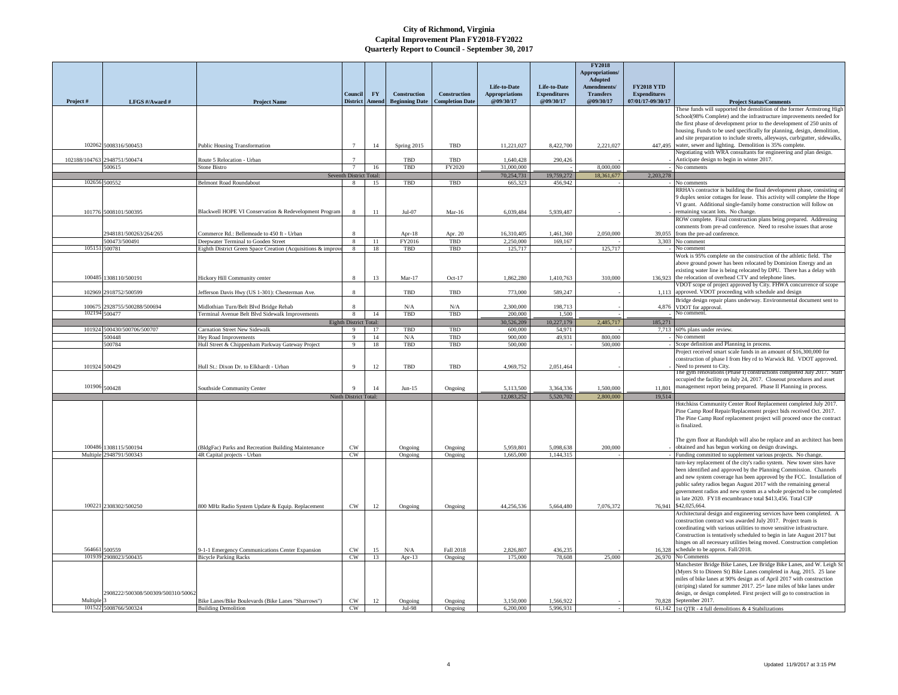|                  |                                    |                                                                                 | Council                                          | <b>FY</b> | Construction          | Construction                | Life-to-Date<br><b>Appropriations</b> | Life-to-Date<br><b>Expenditures</b> | <b>FY2018</b><br><b>Appropriations</b><br>Adopted<br>Amendments/<br><b>Transfers</b> | <b>FY2018 YTD</b><br><b>Expenditures</b> |                                                                                                                                               |
|------------------|------------------------------------|---------------------------------------------------------------------------------|--------------------------------------------------|-----------|-----------------------|-----------------------------|---------------------------------------|-------------------------------------|--------------------------------------------------------------------------------------|------------------------------------------|-----------------------------------------------------------------------------------------------------------------------------------------------|
| Project#         | LFGS #/Award #                     | <b>Project Name</b>                                                             | <b>District</b>                                  | Amend     | <b>Beginning Date</b> | <b>Completion Date</b>      | @09/30/17                             | @09/30/17                           | @09/30/17                                                                            | 07/01/17-09/30/17                        | <b>Project Status/Comments</b>                                                                                                                |
|                  |                                    |                                                                                 |                                                  |           |                       |                             |                                       |                                     |                                                                                      |                                          | These funds will supported the demolition of the former Armstrong High<br>School(98% Complete) and the infrastructure improvements needed for |
|                  |                                    |                                                                                 |                                                  |           |                       |                             |                                       |                                     |                                                                                      |                                          | the first phase of development prior to the development of 250 units of                                                                       |
|                  |                                    |                                                                                 |                                                  |           |                       |                             |                                       |                                     |                                                                                      |                                          | housing. Funds to be used specifically for planning, design, demolition,                                                                      |
|                  |                                    |                                                                                 |                                                  |           |                       |                             |                                       |                                     |                                                                                      |                                          | and site preparation to include streets, alleyways, curb/gutter, sidewalks,                                                                   |
|                  | 102062 5008316/500453              | Public Housing Transformation                                                   | $\overline{7}$                                   | 14        | Spring 2015           | TBD                         | 11,221,027                            | 8,422,700                           | 2,221,027                                                                            | 447,495                                  | water, sewer and lighting. Demolition is 35% complete.<br>Negotiating with WRA consultants for engineering and plan design.                   |
| 102188/104763    | 2948751/500474                     | Route 5 Relocation - Urban                                                      |                                                  |           | <b>TBD</b>            | TBD                         | 1,640,428                             | 290,426                             |                                                                                      |                                          | Anticipate design to begin in winter 2017.                                                                                                    |
|                  | 500615                             | Stone Bistro                                                                    |                                                  | 16        | TBD                   | FY2020                      | 31,000,000                            |                                     | 8,000,000                                                                            |                                          | No comments                                                                                                                                   |
|                  | 102656 500552                      | Belmont Road Roundabout                                                         | Seventh District Total:<br>$\mathbf{\mathbf{R}}$ | 15        | TBD                   | TBD                         | 70,254,731<br>665.323                 | 19,759,272<br>456.942               | 18,361,677                                                                           | 2.203.278                                |                                                                                                                                               |
|                  |                                    |                                                                                 |                                                  |           |                       |                             |                                       |                                     |                                                                                      |                                          | vo comments<br>RRHA's contractor is building the final development phase, consisting of                                                       |
|                  |                                    |                                                                                 |                                                  |           |                       |                             |                                       |                                     |                                                                                      |                                          | 9 duplex senior cottages for lease. This activity will complete the Hope                                                                      |
|                  |                                    |                                                                                 |                                                  |           |                       |                             |                                       |                                     |                                                                                      |                                          | VI grant. Additional single-family home construction will follow on                                                                           |
|                  | 101776 5008101/500395              | Blackwell HOPE VI Conservation & Redevelopment Program                          |                                                  | 11        | $Jul-07$              | $Mar-16$                    | 6,039,484                             | 5,939,487                           |                                                                                      |                                          | remaining vacant lots. No change.<br>ROW complete. Final construction plans being prepared. Addressing                                        |
|                  |                                    |                                                                                 |                                                  |           |                       |                             |                                       |                                     |                                                                                      |                                          | comments from pre-ad conference. Need to resolve issues that arose                                                                            |
|                  | 2948181/500263/264/265             | Commerce Rd.: Bellemeade to 450 ft - Urban                                      |                                                  |           | Apr-18                | Apr. 20                     | 16,310,405                            | 1,461,360                           | 2,050,000                                                                            | 39,055                                   | from the pre-ad conference.                                                                                                                   |
|                  | 500473/500491                      | Deepwater Terminal to Gooden Street                                             | $\mathbf{8}$                                     | 11        | FY2016                | TBD                         | 2,250,000                             | 169,167                             |                                                                                      |                                          | 3,303 No comment                                                                                                                              |
|                  | 105151 500781                      | Eighth District Green Space Creation (Acquisitions & improv                     | 8                                                | 18        | TBD                   | TBD                         | 125,717                               |                                     | 125,717                                                                              |                                          | No comment<br>Work is 95% complete on the construction of the athletic field. The                                                             |
|                  |                                    |                                                                                 |                                                  |           |                       |                             |                                       |                                     |                                                                                      |                                          | above ground power has been relocated by Dominion Energy and an                                                                               |
|                  |                                    |                                                                                 |                                                  |           |                       |                             |                                       |                                     |                                                                                      |                                          | existing water line is being relocated by DPU. There has a delay with                                                                         |
| 100485           | 1308110/500191                     | Hickory Hill Community center                                                   | $\mathbf{\mathbf{R}}$                            | 13        | Mar-17                | $Oct-17$                    | 1,862,280                             | 1,410,763                           | 310,000                                                                              |                                          | 136,923 the relocation of overhead CTV and telephone lines.                                                                                   |
| 102969           | 2918752/500599                     | Jefferson Davis Hwy (US 1-301): Chesterman Ave.                                 | $\mathbf{8}$                                     |           | <b>TBD</b>            | TBD                         | 773,000                               | 589,247                             |                                                                                      | 1,113                                    | VDOT scope of project approved by City. FHWA concurrence of scope<br>approved. VDOT proceeding with schedule and design                       |
|                  |                                    |                                                                                 |                                                  |           |                       |                             |                                       |                                     |                                                                                      |                                          | Bridge design repair plans underway. Environmental document sent to                                                                           |
| 100675<br>102194 | 2928755/500288/500694              | Midlothian Turn/Belt Blvd Bridge Rehab                                          |                                                  |           | N/A                   | N/A                         | 2,300,000                             | 198,713                             |                                                                                      | 4,876                                    | VDOT for approval.<br>o comment                                                                                                               |
|                  | 500477                             | Terminal Avenue Belt Blvd Sidewalk Improvements                                 | $\mathbf{8}$<br>Eighth District Total:           | 14        | TBD                   | TBD                         | 200,000<br>30,526,209                 | 1.500<br>10,227,179                 | 2,485,717                                                                            | 185,271                                  |                                                                                                                                               |
|                  | 101924 500430/500706/500707        | Carnation Street New Sidewalk                                                   | $\overline{9}$                                   | 17        | TBD                   | TBD                         | 600,000                               | 54,971                              |                                                                                      |                                          | 7,713 60% plans under review.                                                                                                                 |
|                  | 500448                             | Hey Road Improvements                                                           | $\mathbf{Q}$                                     | 14        | N/A                   | TBD                         | 900.000                               | 49,931                              | 800.000                                                                              |                                          | No comment                                                                                                                                    |
|                  | 500784                             | Hull Street & Chippenham Parkway Gateway Project                                | 9                                                | 18        | TBD                   | TBD                         | 500,000                               |                                     | 500,000                                                                              |                                          | Scope definition and Planning in process.                                                                                                     |
|                  |                                    |                                                                                 |                                                  |           |                       |                             |                                       |                                     |                                                                                      |                                          | Project received smart scale funds in an amount of \$16,300,000 for<br>construction of phase I from Hey rd to Warwick Rd. VDOT approved.      |
|                  | 101924 500429                      | Hull St.: Dixon Dr. to Elkhardt - Urban                                         | $\Omega$                                         | $12\,$    | TBD                   | TBD                         | 4,969,752                             | 2,051,464                           |                                                                                      |                                          | Need to present to City.                                                                                                                      |
|                  |                                    |                                                                                 |                                                  |           |                       |                             |                                       |                                     |                                                                                      |                                          | The gym renovations (Phase I) constructions completed July 2017. Staf                                                                         |
|                  | $101906$ $500428$                  | Southside Community Center                                                      | $\mathbf Q$                                      | 14        | $Jun-15$              |                             | 5.113.500                             | 3 364 336                           | 1.500.000                                                                            | 11.801                                   | occupied the facility on July 24, 2017. Closeout procedures and asset<br>management report being prepared. Phase II Planning in process.      |
|                  |                                    |                                                                                 | Ninth District Total:                            |           |                       | Ongoing                     | 12,083,252                            | 5.520,702                           | 2,800,000                                                                            | 19.514                                   |                                                                                                                                               |
|                  |                                    |                                                                                 |                                                  |           |                       |                             |                                       |                                     |                                                                                      |                                          | Iotchkiss Community Center Roof Replacement completed July 2017.                                                                              |
|                  |                                    |                                                                                 |                                                  |           |                       |                             |                                       |                                     |                                                                                      |                                          | Pine Camp Roof Repair/Replacement project bids received Oct. 2017.                                                                            |
|                  |                                    |                                                                                 |                                                  |           |                       |                             |                                       |                                     |                                                                                      |                                          | The Pine Camp Roof replacement project will proceed once the contract<br>is finalized.                                                        |
|                  |                                    |                                                                                 |                                                  |           |                       |                             |                                       |                                     |                                                                                      |                                          |                                                                                                                                               |
|                  |                                    |                                                                                 |                                                  |           |                       |                             |                                       |                                     |                                                                                      |                                          | The gym floor at Randolph will also be replace and an architect has been                                                                      |
| 100486           | 1308115/500194                     | BldgFac) Parks and Recreation Building Maintenance                              | CW                                               |           | Ongoing               | Ongoing                     | 5.959.801                             | 5,098,638                           | 200,000                                                                              |                                          | obtained and has begun working on design drawings.                                                                                            |
|                  | Multiple 2948791/500343            | 4R Capital projects - Urban                                                     | CW                                               |           | Ongoing               | Ongoing                     | 1,665,000                             | 1,144,315                           |                                                                                      |                                          | Funding committed to supplement various projects. No change.<br>turn-key replacement of the city's radio system. New tower sites have         |
|                  |                                    |                                                                                 |                                                  |           |                       |                             |                                       |                                     |                                                                                      |                                          | been identified and approved by the Planning Commission. Channels                                                                             |
|                  |                                    |                                                                                 |                                                  |           |                       |                             |                                       |                                     |                                                                                      |                                          | and new system coverage has been approved by the FCC. Installation of                                                                         |
|                  |                                    |                                                                                 |                                                  |           |                       |                             |                                       |                                     |                                                                                      |                                          | public safety radios began August 2017 with the remaining general<br>government radios and new system as a whole projected to be completed    |
|                  |                                    |                                                                                 |                                                  |           |                       |                             |                                       |                                     |                                                                                      |                                          | in late 2020. FY18 encumbrance total \$413,456. Total CIP                                                                                     |
|                  | 100221 2308302/500250              | 800 MHz Radio System Update & Equip. Replacement                                | $\mathrm{CW}$                                    | 12        | Ongoing               | Ongoing                     | 44,256,536                            | 5,664,480                           | 7,076,372                                                                            | 76,941                                   | \$42.025.664                                                                                                                                  |
|                  |                                    |                                                                                 |                                                  |           |                       |                             |                                       |                                     |                                                                                      |                                          | Architectural design and engineering services have been completed. A                                                                          |
|                  |                                    |                                                                                 |                                                  |           |                       |                             |                                       |                                     |                                                                                      |                                          | construction contract was awarded July 2017. Project team is<br>coordinating with various utilities to move sensitive infrastructure.         |
|                  |                                    |                                                                                 |                                                  |           |                       |                             |                                       |                                     |                                                                                      |                                          | Construction is tentatively scheduled to begin in late August 2017 but                                                                        |
|                  |                                    |                                                                                 |                                                  |           |                       |                             |                                       |                                     |                                                                                      |                                          | hinges on all necessary utilities being moved. Construction completion                                                                        |
| 564661<br>101939 | 500559<br>2908023/500435           | 0-1-1 Emergency Communications Center Expansion<br><b>Bicycle Parking Racks</b> | CW<br>CW                                         | 15<br>13  | N/A<br>Apr- $13$      | <b>Fall 2018</b><br>Ongoing | 2,826,807<br>175,000                  | 436,235<br>78,608                   | 25,000                                                                               | 16,328                                   | schedule to be approx. Fall/2018.<br>26,970 No Comments                                                                                       |
|                  |                                    |                                                                                 |                                                  |           |                       |                             |                                       |                                     |                                                                                      |                                          | Manchester Bridge Bike Lanes, Lee Bridge Bike Lanes, and W. Leigh St                                                                          |
|                  |                                    |                                                                                 |                                                  |           |                       |                             |                                       |                                     |                                                                                      |                                          | (Myers St to Dineen St) Bike Lanes completed in Aug, 2015. 25 lane                                                                            |
|                  |                                    |                                                                                 |                                                  |           |                       |                             |                                       |                                     |                                                                                      |                                          | miles of bike lanes at 90% design as of April 2017 with construction                                                                          |
|                  | 2908222/500308/500309/500310/50062 |                                                                                 |                                                  |           |                       |                             |                                       |                                     |                                                                                      |                                          | striping) slated for summer 2017. 25+ lane miles of bike lanes under<br>design, or design completed. First project will go to construction in |
| Multiple         |                                    | Bike Lanes/Bike Boulevards (Bike Lanes "Sharrows")                              | CW                                               | 12        | Ongoing               | Ongoing                     | 3,150,000                             | 1,566,922                           |                                                                                      |                                          | 70,828 September 2017.                                                                                                                        |
|                  | 101522 5008766/500324              | <b>Building Demolition</b>                                                      | CW                                               |           | Jul-98                | Ongoing                     | 6,200,000                             | 5,996,931                           |                                                                                      |                                          | 61,142 1st QTR - 4 full demolitions & 4 Stabilizations                                                                                        |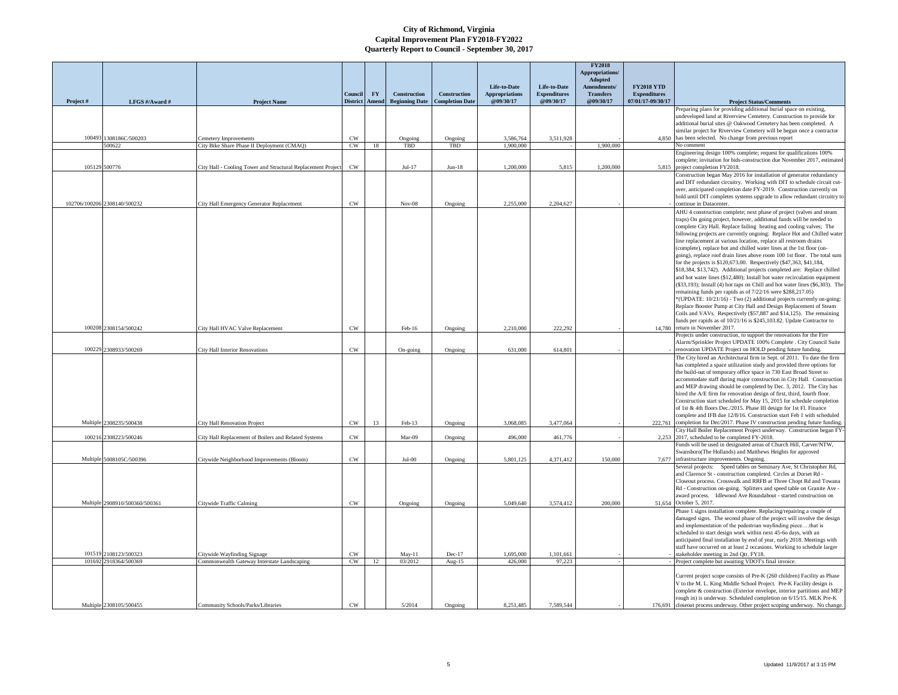|          |                                  |                                                                     |                            |    |                                       |                                        |                                    |                                  | <b>FY2018</b><br>Appropriations/ |                                          |                                                                                                                                                     |
|----------|----------------------------------|---------------------------------------------------------------------|----------------------------|----|---------------------------------------|----------------------------------------|------------------------------------|----------------------------------|----------------------------------|------------------------------------------|-----------------------------------------------------------------------------------------------------------------------------------------------------|
|          |                                  |                                                                     |                            |    |                                       |                                        | Life-to-Date                       | Life-to-Date                     | Adopted<br>Amendments/           | <b>FY2018 YTD</b>                        |                                                                                                                                                     |
| Project# | LFGS #/Award #                   | <b>Project Name</b>                                                 | Council<br>District Amend  | FY | Construction<br><b>Beginning Date</b> | Construction<br><b>Completion Date</b> | <b>Appropriations</b><br>@09/30/17 | <b>Expenditures</b><br>@09/30/17 | <b>Transfers</b><br>@09/30/17    | <b>Expenditures</b><br>07/01/17-09/30/17 | <b>Project Status/Comments</b>                                                                                                                      |
|          |                                  |                                                                     |                            |    |                                       |                                        |                                    |                                  |                                  |                                          | Preparing plans for providing additional burial space on existing,                                                                                  |
|          |                                  |                                                                     |                            |    |                                       |                                        |                                    |                                  |                                  |                                          | undeveloped land at Riverview Cemetery. Construction to provide for<br>additional burial sites @ Oakwood Cemetery has been completed. A             |
|          |                                  |                                                                     |                            |    |                                       |                                        |                                    |                                  |                                  |                                          | similar project for Riverview Cemetery will be begun once a contractor                                                                              |
|          | 100493 1308186C/500203<br>500622 | Cemetery Improvements<br>City Bike Share Phase II Deployment (CMAQ) | CW<br>CW                   | 18 | Ongoing<br>TBD                        | Ongoing<br>TBD                         | 3,586,764<br>1,900,000             | 3,511,928                        | 1,900,000                        |                                          | 4,850 has been selected. No change from previous report<br>No comment                                                                               |
|          |                                  |                                                                     |                            |    |                                       |                                        |                                    |                                  |                                  |                                          | Engineering design 100% complete; request for qualifications 100%                                                                                   |
|          | 105129 500776                    | City Hall - Cooling Tower and Structural Replacement Project        | $\mathrm{CW}$              |    | $Jul-17$                              | $Jun-18$                               | 1,200,000                          | 5,815                            | 1,200,000                        | 5,815                                    | complete; invitation for bids-construction due November 2017, estimated<br>project completion FY2018.                                               |
|          |                                  |                                                                     |                            |    |                                       |                                        |                                    |                                  |                                  |                                          | Construction began May 2016 for installation of generator redundancy                                                                                |
|          |                                  |                                                                     |                            |    |                                       |                                        |                                    |                                  |                                  |                                          | and DIT redundant circuitry. Working with DIT to schedule circuit cut-<br>over, anticipated completion date FY-2019. Construction currently on      |
|          |                                  |                                                                     |                            |    |                                       |                                        |                                    |                                  |                                  |                                          | hold until DIT completes systems upgrade to allow redundant circuitry to                                                                            |
|          | 102706/100206 2308140/500232     | City Hall Emergency Generator Replacement                           | $_{\mbox{\scriptsize CW}}$ |    | $Nov-08$                              | Ongoing                                | 2,255,000                          | 2,204,627                        |                                  |                                          | continue in Datacenter.                                                                                                                             |
|          |                                  |                                                                     |                            |    |                                       |                                        |                                    |                                  |                                  |                                          | AHU 4 construction complete; next phase of project (valves and steam<br>traps) On going project, however, additional funds will be needed to        |
|          |                                  |                                                                     |                            |    |                                       |                                        |                                    |                                  |                                  |                                          | complete City Hall. Replace failing heating and cooling valves; The                                                                                 |
|          |                                  |                                                                     |                            |    |                                       |                                        |                                    |                                  |                                  |                                          | following projects are currently ongoing: Replace Hot and Chilled water<br>line replacement at various location, replace all restroom drains        |
|          |                                  |                                                                     |                            |    |                                       |                                        |                                    |                                  |                                  |                                          | (complete), replace hot and chilled water lines at the 1st floor (on-                                                                               |
|          |                                  |                                                                     |                            |    |                                       |                                        |                                    |                                  |                                  |                                          | going), replace roof drain lines above room 100 1st floor. The total sum                                                                            |
|          |                                  |                                                                     |                            |    |                                       |                                        |                                    |                                  |                                  |                                          | for the projects is \$120,673.00. Respectively (\$47,363, \$41,184,<br>\$18,384, \$13,742). Additional projects completed are: Replace chilled      |
|          |                                  |                                                                     |                            |    |                                       |                                        |                                    |                                  |                                  |                                          | and hot water lines (\$12,480); Install hot water recirculation equipment                                                                           |
|          |                                  |                                                                     |                            |    |                                       |                                        |                                    |                                  |                                  |                                          | (\$33,193); Install (4) hot taps on Chill and hot water lines (\$6,303). The<br>remaining funds per rapids as of 7/22/16 were \$288,217.05)         |
|          |                                  |                                                                     |                            |    |                                       |                                        |                                    |                                  |                                  |                                          | *(UPDATE: 10/21/16) - Two (2) additional projects currently on-going:                                                                               |
|          |                                  |                                                                     |                            |    |                                       |                                        |                                    |                                  |                                  |                                          | Replace Booster Pump at City Hall and Design Replacement of Steam                                                                                   |
|          |                                  |                                                                     |                            |    |                                       |                                        |                                    |                                  |                                  |                                          | Coils and VAVs. Respectively (\$57,887 and \$14,125). The remaining<br>funds per rapids as of 10/21/16 is \$245,103.82. Update Contractor to        |
|          | 100208 2308154/500242            | City Hall HVAC Valve Replacement                                    | CW                         |    | Feb-16                                | Ongoing                                | 2,210,000                          | 222,292                          |                                  | 14,780                                   | return in November 2017.                                                                                                                            |
|          |                                  |                                                                     |                            |    |                                       |                                        |                                    |                                  |                                  |                                          | Projects under construction, to support the renovations for the Fire<br>Alarm/Sprinkler Project UPDATE 100% Complete . City Council Suite           |
| 100229   | 2308933/500269                   | <b>City Hall Interior Renovations</b>                               | CW                         |    | On-going                              | Ongoing                                | 631,000                            | 614,801                          |                                  |                                          | enovation UPDATE Project on HOLD pending future funding.                                                                                            |
|          |                                  |                                                                     |                            |    |                                       |                                        |                                    |                                  |                                  |                                          | The City hired an Architectural firm in Sept. of 2011. To date the firm                                                                             |
|          |                                  |                                                                     |                            |    |                                       |                                        |                                    |                                  |                                  |                                          | has completed a space utilization study and provided three options for<br>the build-out of temporary office space in 730 East Broad Street to       |
|          |                                  |                                                                     |                            |    |                                       |                                        |                                    |                                  |                                  |                                          | accommodate staff during major construction in City Hall. Construction                                                                              |
|          |                                  |                                                                     |                            |    |                                       |                                        |                                    |                                  |                                  |                                          | and MEP drawing should be completed by Dec. 3, 2012. The City has<br>hired the A/E firm for renovation design of first, third, fourth floor.        |
|          |                                  |                                                                     |                            |    |                                       |                                        |                                    |                                  |                                  |                                          | Construction start scheduled for May 15, 2015 for schedule completion                                                                               |
|          |                                  |                                                                     |                            |    |                                       |                                        |                                    |                                  |                                  |                                          | of 1st & 4th floors Dec./2015. Phase III design for 1st Fl. Finance                                                                                 |
|          | Multiple 2308235/500438          | City Hall Renovation Project                                        | $\mathrm{CW}$              | 13 | Feb-13                                | Ongoing                                | 3,068,085                          | 3,477,064                        |                                  | 222,761                                  | complete and IFB due 12/8/16. Construction start Feb 1 with scheduled<br>completion for Dec/2017. Phase IV construction pending future funding      |
|          |                                  |                                                                     |                            |    |                                       |                                        |                                    |                                  |                                  |                                          | City Hall Boiler Replacement Project underway. Construction began FY                                                                                |
| 100216   | 2308223/500246                   | City Hall Replacement of Boilers and Related Systems                | <b>CW</b>                  |    | Mar-09                                | Ongoing                                | 496,000                            | 461,776                          |                                  | 2.253                                    | 2017, scheduled to be completed FY-2018.<br>unds will be used in designated areas of Church Hill, Carver/NTW,                                       |
|          |                                  |                                                                     |                            |    |                                       |                                        |                                    |                                  |                                  |                                          | Swansboro(The Hollands) and Matthews Heights for approved                                                                                           |
|          | Multiple 5008105C/500396         | Citywide Neighborhood Improvements (Bloom)                          | <b>CW</b>                  |    | $Jul-00$                              | Ongoing                                | 5.801.125                          | 4,371,412                        | 150,000                          | 7.677                                    | infrastructure improvements. Ongoing<br>Several projects: Speed tables on Seminary Ave, St Christopher Rd,                                          |
|          |                                  |                                                                     |                            |    |                                       |                                        |                                    |                                  |                                  |                                          | and Clarence St - construction completed. Circles at Dorset Rd -                                                                                    |
|          |                                  |                                                                     |                            |    |                                       |                                        |                                    |                                  |                                  |                                          | Closeout process. Crosswalk and RRFB at Three Chopt Rd and Towana                                                                                   |
|          |                                  |                                                                     |                            |    |                                       |                                        |                                    |                                  |                                  |                                          | Rd - Construction on-going. Splitters and speed table on Granite Ave -<br>award process. Idlewood Ave Roundabout - started construction on          |
|          | Multiple 2908910/500360/500361   | Citywide Traffic Calming                                            | CW                         |    | Ongoing                               | Ongoing                                | 5,049,640                          | 3,574,412                        | 200,000                          | 51,654                                   | October 5, 2017.                                                                                                                                    |
|          |                                  |                                                                     |                            |    |                                       |                                        |                                    |                                  |                                  |                                          | Phase 1 signs installation complete. Replacing/repairing a couple of                                                                                |
|          |                                  |                                                                     |                            |    |                                       |                                        |                                    |                                  |                                  |                                          | damaged signs. The second phase of the project will involve the design<br>and implementation of the pedestrian wayfinding piecethat is              |
|          |                                  |                                                                     |                            |    |                                       |                                        |                                    |                                  |                                  |                                          | scheduled to start design work within next 45-60 days, with an                                                                                      |
|          |                                  |                                                                     |                            |    |                                       |                                        |                                    |                                  |                                  |                                          | anticipated final installation by end of year, early 2018. Meetings with<br>staff have occurred on at least 2 occasions. Working to schedule larger |
|          | 101519 2108123/500323            | Citywide Wayfinding Signage                                         | CW                         |    | May-11                                | Dec-17                                 | 1,695,000                          | 1,101,661                        |                                  |                                          | takeholder meeting in 2nd Qtr. FY18.                                                                                                                |
|          | 101692 2918364/500369            | Commonwealth Gateway Interstate Landscaping                         | CW                         | 12 | 03/2012                               | Aug- $15$                              | 426,000                            | 97,223                           |                                  |                                          | Project complete but awaiting VDOT's final invoice.                                                                                                 |
|          |                                  |                                                                     |                            |    |                                       |                                        |                                    |                                  |                                  |                                          | Current project scope consists of Pre-K (260 children) Facility as Phase                                                                            |
|          |                                  |                                                                     |                            |    |                                       |                                        |                                    |                                  |                                  |                                          | V to the M. L. King Middle School Project. Pre-K Facility design is                                                                                 |
|          |                                  |                                                                     |                            |    |                                       |                                        |                                    |                                  |                                  |                                          | complete & construction (Exterior envelope, interior partitions and MEP<br>rough in) is underway. Scheduled completion on 6/15/15. MLK Pre-K        |
|          | Multiple 2308105/500455          | Community Schools/Parks/Libraries                                   | <b>CW</b>                  |    | 5/2014                                | Ongoing                                | 8,251,485                          | 7.589.544                        |                                  | 176,691                                  | closeout process underway. Other project scoping underway. No change.                                                                               |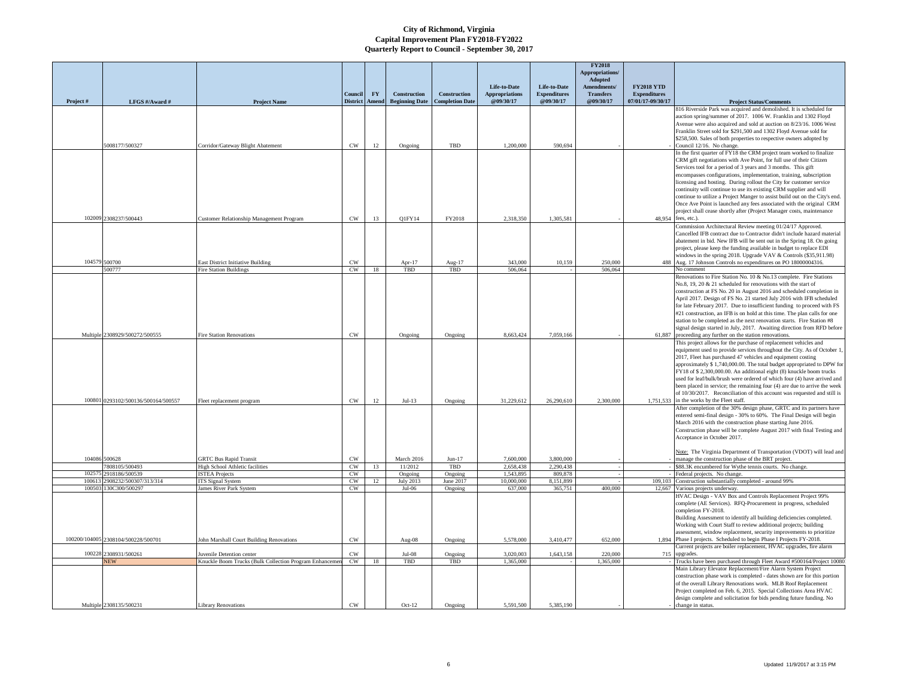|                 |                                         |                                                         |                            |           |                       |                        |                                       |                                     | <b>FY2018</b><br>Appropriations/        |                                          |                                                                                                                                                                                                                                                                                                                                                                                                                                                                                                                                                                                                                                                                 |
|-----------------|-----------------------------------------|---------------------------------------------------------|----------------------------|-----------|-----------------------|------------------------|---------------------------------------|-------------------------------------|-----------------------------------------|------------------------------------------|-----------------------------------------------------------------------------------------------------------------------------------------------------------------------------------------------------------------------------------------------------------------------------------------------------------------------------------------------------------------------------------------------------------------------------------------------------------------------------------------------------------------------------------------------------------------------------------------------------------------------------------------------------------------|
|                 |                                         |                                                         |                            |           |                       |                        |                                       |                                     | Adopted                                 |                                          |                                                                                                                                                                                                                                                                                                                                                                                                                                                                                                                                                                                                                                                                 |
|                 |                                         |                                                         | Conneil                    | <b>FY</b> | Construction          | Construction           | Life-to-Date<br><b>Appropriations</b> | Life-to-Date<br><b>Expenditures</b> | <b>Amendments</b> /<br><b>Transfers</b> | <b>FY2018 YTD</b><br><b>Expenditures</b> |                                                                                                                                                                                                                                                                                                                                                                                                                                                                                                                                                                                                                                                                 |
| Project#        | LFGS #/Award #                          | <b>Project Name</b>                                     | <b>District</b>            | Amend     | <b>Beginning Date</b> | <b>Completion Date</b> | @09/30/17                             | @09/30/17                           | @09/30/17                               | 07/01/17-09/30/17                        | <b>Project Status/Comments</b>                                                                                                                                                                                                                                                                                                                                                                                                                                                                                                                                                                                                                                  |
|                 |                                         |                                                         |                            |           |                       |                        |                                       |                                     |                                         |                                          | 816 Riverside Park was acquired and demolished. It is scheduled for<br>auction spring/summer of 2017. 1006 W. Franklin and 1302 Floyd<br>Avenue were also acquired and sold at auction on 8/23/16. 1006 West<br>Franklin Street sold for \$291,500 and 1302 Floyd Avenue sold for<br>\$258,500. Sales of both properties to respective owners adopted by                                                                                                                                                                                                                                                                                                        |
|                 | 5008177/500327                          | Corridor/Gateway Blight Abatement                       | CW                         | 12        | Ongoing               | TBD                    | 1.200,000                             | 590,694                             |                                         |                                          | Council 12/16. No change.                                                                                                                                                                                                                                                                                                                                                                                                                                                                                                                                                                                                                                       |
|                 |                                         |                                                         |                            |           |                       |                        |                                       |                                     |                                         |                                          | In the first quarter of FY18 the CRM project team worked to finalize<br>CRM gift negotiations with Ave Point, for full use of their Citizen<br>Services tool for a period of 3 years and 3 months. This gift<br>encompasses configurations, implementation, training, subscription<br>licensing and hosting. During rollout the City for customer service<br>continuity will continue to use its existing CRM supplier and will<br>continue to utilize a Project Manger to assist build out on the City's end.<br>Once Ave Point is launched any fees associated with the original CRM<br>project shall cease shortly after (Project Manager costs, maintenance |
|                 | 102009 2308237/500443                   | Customer Relationship Management Program                | $\mathrm{CW}$              | 13        | Q1FY14                | FY2018                 | 2,318,350                             | 1,305,581                           |                                         | 48,954                                   | fees, etc.).<br>Commission Architectural Review meeting 01/24/17 Approved.                                                                                                                                                                                                                                                                                                                                                                                                                                                                                                                                                                                      |
| 104579          | 500700                                  | East District Initiative Building                       | $\mathrm{CW}$              |           | Apr-17                | Aug-17                 | 343,000                               | 10,159                              | 250,000                                 | 488                                      | Cancelled IFB contract due to Contractor didn't include hazard material<br>abatement in bid. New IFB will be sent out in the Spring 18. On going<br>project, please keep the funding available in budget to replace EDI<br>windows in the spring 2018. Upgrade VAV & Controls (\$35,911.98)<br>Aug. 17 Johnson Controls no expenditures on PO 18000004316.                                                                                                                                                                                                                                                                                                      |
|                 | 500777                                  | <b>Fire Station Buildings</b>                           | CW                         | 18        | TBD                   | TBD                    | 506,064                               |                                     | 506,064                                 |                                          | No comment                                                                                                                                                                                                                                                                                                                                                                                                                                                                                                                                                                                                                                                      |
|                 | Multiple 2308929/500272/500555          | <b>Fire Station Renovations</b>                         | $_{\mbox{\scriptsize CW}}$ |           | Ongoing               | Ongoing                | 8,663,424                             | 7,059,166                           |                                         | 61,887                                   | Renovations to Fire Station No. 10 & No.13 complete. Fire Stations<br>No.8, 19, 20 & 21 scheduled for renovations with the start of<br>construction at FS No. 20 in August 2016 and scheduled completion in<br>April 2017. Design of FS No. 21 started July 2016 with IFB scheduled<br>for late February 2017. Due to insufficient funding to proceed with FS<br>#21 construction, an IFB is on hold at this time. The plan calls for one<br>station to be completed as the next renovation starts. Fire Station #8<br>signal design started in July, 2017. Awaiting direction from RFD before<br>proceeding any further on the station renovations.            |
| 100801          |                                         |                                                         |                            |           |                       |                        |                                       |                                     | 2.300.000                               |                                          | This project allows for the purchase of replacement vehicles and<br>equipment used to provide services throughout the City. As of October 1<br>2017, Fleet has purchased 47 vehicles and equipment costing<br>approximately \$ 1,740,000.00. The total budget appropriated to DPW for<br>FY18 of \$2,300,000.00. An additional eight (8) knuckle boom trucks<br>used for leaf/bulk/brush were ordered of which four (4) have arrived and<br>been placed in service; the remaining four (4) are due to arrive the week<br>of 10/30/2017. Reconciliation of this account was requested and still is<br>1.751.533 in the works by the Fleet staff.                 |
|                 | 0293102/500136/500164/500557            | Fleet replacement program                               | $_{\mbox{\scriptsize CW}}$ | $12 \,$   | $Jul-13$              | Ongoing                | 31,229,612                            | 26,290,610                          |                                         |                                          | After completion of the 30% design phase, GRTC and its partners have                                                                                                                                                                                                                                                                                                                                                                                                                                                                                                                                                                                            |
|                 |                                         |                                                         |                            |           |                       |                        |                                       |                                     |                                         |                                          | entered semi-final design - 30% to 60%. The Final Design will begin<br>March 2016 with the construction phase starting June 2016.<br>Construction phase will be complete August 2017 with final Testing and<br>Acceptance in October 2017.<br>Note: The Virginia Department of Transportation (VDOT) will lead and                                                                                                                                                                                                                                                                                                                                              |
|                 | 104086 500628                           | <b>GRTC Bus Rapid Transit</b>                           | CW                         |           | March 2016            | $Jun-17$               | 7,600,000                             | 3,800,000                           |                                         |                                          | manage the construction phase of the BRT project.                                                                                                                                                                                                                                                                                                                                                                                                                                                                                                                                                                                                               |
|                 | 7808105/500493                          | High School Athletic facilities                         | CW                         | 13        | 11/2012               | TBD                    | 2.658,438                             | 2,290,438                           |                                         |                                          | \$88.3K encumbered for Wythe tennis courts. No change.                                                                                                                                                                                                                                                                                                                                                                                                                                                                                                                                                                                                          |
| 10257<br>100613 | 918186/500539<br>2908232/500307/313/314 | <b>ISTEA Projects</b><br><b>ITS Signal System</b>       | $_{\rm CW}$<br>CW          | 12        | Ongoing<br>July 2013  | Ongoing<br>June 2017   | 1,543,895<br>10,000,000               | 809,878<br>8,151,899                |                                         | 109,103                                  | Federal projects. No change.<br>Construction substantially completed - around 99%                                                                                                                                                                                                                                                                                                                                                                                                                                                                                                                                                                               |
| 100503          | 130C300/500297                          | James River Park System                                 | CW                         |           | $Jul-06$              | Ongoing                | 637,000                               | 365,751                             | 400,000                                 | 12,667                                   | Various projects underway.                                                                                                                                                                                                                                                                                                                                                                                                                                                                                                                                                                                                                                      |
|                 | 100200/104005 2308104/500228/500701     | John Marshall Court Building Renovations                | $\mathrm{CW}$              |           | Aug-08                | Ongoing                | 5,578,000                             | 3,410,477                           | 652,000                                 | 1.894                                    | HVAC Design - VAV Box and Controls Replacement Project 99%<br>complete (AE Services). RFQ-Procurement in progress, scheduled<br>completion FY-2018.<br>Building Assessment to identify all building deficiencies completed.<br>Working with Court Staff to review additional projects; building<br>assessment, window replacement, security improvements to prioritize<br>Phase I projects. Scheduled to begin Phase I Projects FY-2018.                                                                                                                                                                                                                        |
|                 |                                         |                                                         |                            |           |                       |                        |                                       |                                     |                                         |                                          | Current projects are boiler replacement, HVAC upgrades, fire alarm                                                                                                                                                                                                                                                                                                                                                                                                                                                                                                                                                                                              |
| 100228          | 2308931/500261                          | Juvenile Detention center                               | CW                         |           | $Jul-08$              | Ongoing                | 3.020.003                             | 1.643.158                           | 220,000                                 | 715                                      | upgrades.                                                                                                                                                                                                                                                                                                                                                                                                                                                                                                                                                                                                                                                       |
|                 | <b>NEW</b>                              | Knuckle Boom Trucks (Bulk Collection Program Enhancemer | CW                         | 18        | TBD                   | TBD                    | 1.365,000                             |                                     | 1,365,000                               |                                          | Trucks have been purchased through Fleet Award #500164/Project 10080<br>Main Library Elevator Replacement/Fire Alarm System Project                                                                                                                                                                                                                                                                                                                                                                                                                                                                                                                             |
|                 | Multiple 2308135/500231                 | <b>Library Renovations</b>                              | $\mathrm{CW}$              |           | $Oct-12$              | Ongoing                | 5,591,500                             | 5,385,190                           |                                         |                                          | construction phase work is completed - dates shown are for this portion<br>of the overall Library Renovations work. MLB Roof Replacement<br>Project completed on Feb. 6, 2015. Special Collections Area HVAC<br>design complete and solicitation for bids pending future funding. No<br>change in status.                                                                                                                                                                                                                                                                                                                                                       |
|                 |                                         |                                                         |                            |           |                       |                        |                                       |                                     |                                         |                                          |                                                                                                                                                                                                                                                                                                                                                                                                                                                                                                                                                                                                                                                                 |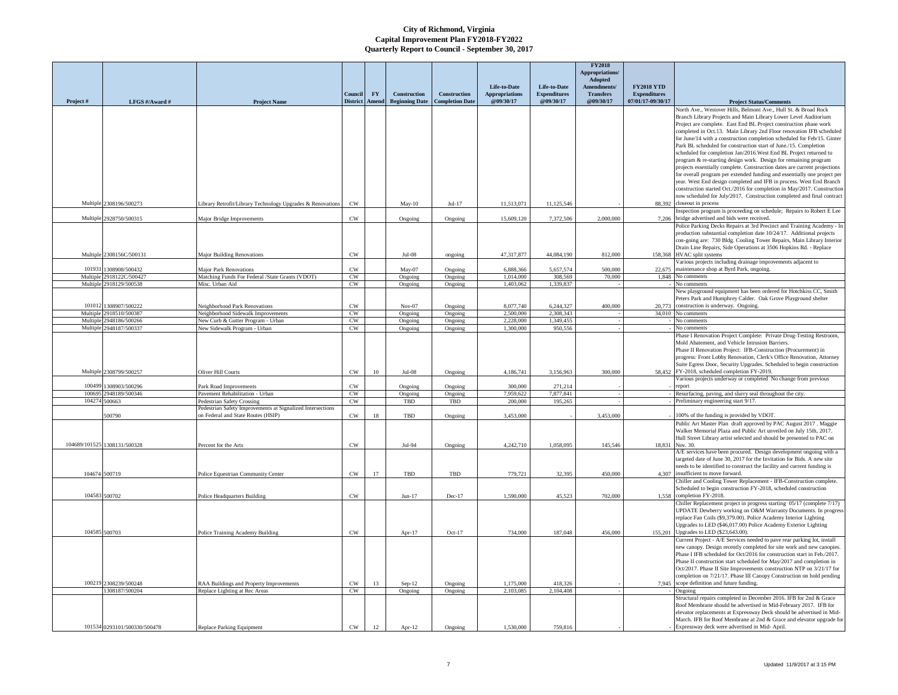|          |                              |                                                            |                            |                        |                       |                        |                       |                     | <b>FY2018</b><br>Appropriations/ |                     |                                                                                                                                                   |
|----------|------------------------------|------------------------------------------------------------|----------------------------|------------------------|-----------------------|------------------------|-----------------------|---------------------|----------------------------------|---------------------|---------------------------------------------------------------------------------------------------------------------------------------------------|
|          |                              |                                                            |                            |                        |                       |                        | Life-to-Date          | Life-to-Date        | Adopted<br>Amendments/           | <b>FY2018 YTD</b>   |                                                                                                                                                   |
|          |                              |                                                            | <b>Council</b>             | $\mathbf{F}\mathbf{Y}$ | <b>Construction</b>   | Construction           | <b>Appropriations</b> | <b>Expenditures</b> | <b>Transfers</b>                 | <b>Expenditures</b> |                                                                                                                                                   |
| Project# | LFGS #/Award #               | <b>Project Name</b>                                        | <b>District</b>            | Amend                  | <b>Beginning Date</b> | <b>Completion Date</b> | @09/30/17             | @09/30/17           | @09/30/17                        | 07/01/17-09/30/17   | <b>Project Status/Comments</b><br>North Ave., Westover Hills, Belmont Ave., Hull St. & Broad Rock                                                 |
|          |                              |                                                            |                            |                        |                       |                        |                       |                     |                                  |                     | Branch Library Projects and Main Library Lower Level Auditorium                                                                                   |
|          |                              |                                                            |                            |                        |                       |                        |                       |                     |                                  |                     | Project are complete. East End BL Project construction phase work                                                                                 |
|          |                              |                                                            |                            |                        |                       |                        |                       |                     |                                  |                     | completed in Oct.13. Main Library 2nd Floor renovation IFB scheduled                                                                              |
|          |                              |                                                            |                            |                        |                       |                        |                       |                     |                                  |                     | for June/14 with a construction completion scheduled for Feb/15. Ginter                                                                           |
|          |                              |                                                            |                            |                        |                       |                        |                       |                     |                                  |                     | Park BL scheduled for construction start of June./15. Completion<br>scheduled for completion Jan/2016. West End BL Project returned to            |
|          |                              |                                                            |                            |                        |                       |                        |                       |                     |                                  |                     | program & re-starting design work. Design for remaining program                                                                                   |
|          |                              |                                                            |                            |                        |                       |                        |                       |                     |                                  |                     | projects essentially complete. Construction dates are current projections                                                                         |
|          |                              |                                                            |                            |                        |                       |                        |                       |                     |                                  |                     | for overall program per extended funding and essentially one project per                                                                          |
|          |                              |                                                            |                            |                        |                       |                        |                       |                     |                                  |                     | year. West End design completed and IFB in process. West End Branch                                                                               |
|          |                              |                                                            |                            |                        |                       |                        |                       |                     |                                  |                     | construction started Oct./2016 for completion in May/2017. Construction<br>now scheduled for July/2017. Construction completed and final contract |
|          | Multiple 2308196/500273      | Library Retrofit/Library Technology Upgrades & Renovations | $\mathrm{CW}$              |                        | $May-10$              | $Jul-17$               | 11,513,071            | 11,125,546          |                                  |                     | 88,392 closeout in process                                                                                                                        |
|          |                              |                                                            |                            |                        |                       |                        |                       |                     |                                  |                     | Inspection program is proceeding on schedule; Repairs to Robert E Lee                                                                             |
| Multiple | 928750/500315                | Major Bridge Improvements                                  | $\mathrm{CW}$              |                        | Ongoing               | Ongoing                | 15,609,120            | 7,372,506           | 2,000,000                        | 7.206               | bridge advertised and bids were received                                                                                                          |
|          |                              |                                                            |                            |                        |                       |                        |                       |                     |                                  |                     | Police Parking Decks Repairs at 3rd Precinct and Training Academy - In                                                                            |
|          |                              |                                                            |                            |                        |                       |                        |                       |                     |                                  |                     | production substantial completion date 10/24/17. Additional projects                                                                              |
|          |                              |                                                            |                            |                        |                       |                        |                       |                     |                                  |                     | con-going are: 730 Bldg. Cooling Tower Repairs, Main Library Interior<br>Drain Line Repairs, Side Operations at 3506 Hopkins Rd. - Replace        |
|          | Multiple 2308156C/500131     | <b>Major Building Renovations</b>                          | CW                         |                        | $Jul-08$              | ongoing                | 47,317,877            | 44,084,190          | 812,000                          |                     | 158,368 HVAC split systems                                                                                                                        |
|          |                              |                                                            |                            |                        |                       |                        |                       |                     |                                  |                     | Various projects including drainage improvements adjacent to                                                                                      |
| 101931   | 1308908/500432               | <b>Major Park Renovations</b>                              | <b>CW</b>                  |                        | $May-07$              | Ongoing                | 6,888,366             | 5.657.574           | 500,000                          | 22,675              | maintenance shop at Byrd Park, ongoing.                                                                                                           |
|          | Multiple 2918122C/500427     | Matching Funds For Federal /State Grants (VDOT)            | CW                         |                        | Ongoing               | Ongoing                | 1,014,000             | 308,569             | 70,000                           | 1.848               | No comments                                                                                                                                       |
|          | Multiple 2918129/500538      | Misc. Urban Aid                                            | CW                         |                        | Ongoing               | Ongoing                | 1.403.062             | 1.339.83            |                                  |                     | No comments                                                                                                                                       |
|          |                              |                                                            |                            |                        |                       |                        |                       |                     |                                  |                     | New playground equipment has been ordered for Hotchkiss CC, Smith<br>Peters Park and Humphrey Calder. Oak Grove Playground shelter                |
| 101012   | 308907/500222                | Neighborhood Park Renovations                              | CW                         |                        | $Nov-07$              | Ongoing                | 8,077,740             | 6,244,327           | 400,000                          | 20,773              | construction is underway. Ongoing.                                                                                                                |
| Multiple | 2918510/500387               | Neighborhood Sidewalk Improvements                         | CW                         |                        | Ongoing               | Ongoing                | 2.500.000             | 2.308.343           |                                  |                     | 34.010 No comments                                                                                                                                |
| Multipl  | 948186/500266                | Vew Curb & Gutter Program - Urban                          | CW                         |                        | Ongoing               | Ongoing                | 2.228.000             | 1.349,455           |                                  |                     | No comments                                                                                                                                       |
| Multiple | 2948187/500337               | New Sidewalk Program - Urban                               | CW                         |                        | Ongoing               | Ongoing                | 1,300,000             | 950,556             |                                  |                     | No comments                                                                                                                                       |
|          |                              |                                                            |                            |                        |                       |                        |                       |                     |                                  |                     | Phase I Renovation Project Complete: Private Drug-Testing Restroom,<br>Mold Abatement, and Vehicle Intrusion Barriers                             |
|          |                              |                                                            |                            |                        |                       |                        |                       |                     |                                  |                     | Phase II Renovation Project: IFB-Construction (Procurement) in                                                                                    |
|          |                              |                                                            |                            |                        |                       |                        |                       |                     |                                  |                     | progress: Front Lobby Renovation, Clerk's Office Renovation, Attorney                                                                             |
|          |                              |                                                            |                            |                        |                       |                        |                       |                     |                                  |                     | Suite Egress Door, Security Upgrades. Scheduled to begin construction                                                                             |
|          | Multiple 2308799/500257      | Oliver Hill Courts                                         | $_{\mbox{\scriptsize CW}}$ | 10                     | $Jul-08$              | Ongoing                | 4,186,741             | 3.156.963           | 300,000                          |                     | 58,452 FY-2018, scheduled completion FY-2019.                                                                                                     |
| 100499   | 308903/500296                | Park Road Improvements                                     | CW                         |                        |                       |                        | 300.000               | 271,214             |                                  |                     | Various projects underway or completed No change from previous<br>report                                                                          |
| 10069    | 2948189/500346               | Pavement Rehabilitation - Urban                            | CW                         |                        | Ongoing<br>Ongoing    | Ongoing<br>Ongoing     | 7,959,622             | 7,877,841           |                                  |                     | Resurfacing, paving, and slurry seal throughout the city.                                                                                         |
| 104274   | 500663                       | Pedestrian Safety Crossing                                 | CW                         |                        | TBD                   | TBD                    | 200,000               | 195,265             |                                  |                     | Preliminary engineering start 9/17.                                                                                                               |
|          |                              | edestrian Safety Improvements at Signalized Intersections  |                            |                        |                       |                        |                       |                     |                                  |                     |                                                                                                                                                   |
|          | 00790                        | n Federal and State Routes (HSIP)                          | $\text{cw}$                | 18                     | TBD                   | Ongoing                | 3,453,000             |                     | 3,453,000                        |                     | 100% of the funding is provided by VDOT.                                                                                                          |
|          |                              |                                                            |                            |                        |                       |                        |                       |                     |                                  |                     | Public Art Master Plan draft approved by PAC August 2017. Maggie                                                                                  |
|          |                              |                                                            |                            |                        |                       |                        |                       |                     |                                  |                     | Walker Memorial Plaza and Public Art unveiled on July 15th, 2017.<br>Hull Street Library artist selected and should be presented to PAC on        |
|          | 104689/101525 1308131/500328 | Percent for the Arts                                       | <b>CW</b>                  |                        | Jul-94                | Ongoing                | 4,242,710             | 1,058,095           | 145,546                          | 18,831              | Nov. 30.                                                                                                                                          |
|          |                              |                                                            |                            |                        |                       |                        |                       |                     |                                  |                     | A/E services have been procured. Design development ongoing with a                                                                                |
|          |                              |                                                            |                            |                        |                       |                        |                       |                     |                                  |                     | targeted date of June 30, 2017 for the Invitation for Bids. A new site                                                                            |
|          | 104674 500719                |                                                            |                            | 17                     |                       |                        |                       |                     | 450,000                          | 4.307               | needs to be identified to construct the facility and current funding is<br>insufficient to move forward.                                          |
|          |                              | Police Equestrian Community Center                         | $_{\mbox{\scriptsize CW}}$ |                        | TBD                   | TBD                    | 779,721               | 32,395              |                                  |                     | Chiller and Cooling Tower Replacement - IFB-Construction complete.                                                                                |
|          |                              |                                                            |                            |                        |                       |                        |                       |                     |                                  |                     | Scheduled to begin construction FY-2018, scheduled construction                                                                                   |
| 104583   | 500702                       | Police Headquarters Building                               | $\mathrm{CW}$              |                        | $Jun-17$              | Dec-17                 | 1,590,000             | 45,523              | 702,000                          | 1,558               | completion FY-2018.                                                                                                                               |
|          |                              |                                                            |                            |                        |                       |                        |                       |                     |                                  |                     | Chiller Replacement project in progress starting 05/17 (complete 7/17)                                                                            |
|          |                              |                                                            |                            |                        |                       |                        |                       |                     |                                  |                     | UPDATE Dewberry working on O&M Warranty Documents. In progress                                                                                    |
|          |                              |                                                            |                            |                        |                       |                        |                       |                     |                                  |                     | replace Fan Coils (\$9,379.00). Police Academy Interior Lighting<br>Upgrades to LED (\$46,017.00) Police Academy Exterior Lighting                |
|          | 104585 500703                | Police Training Academy Building                           | CW                         |                        | Apr-17                | $Oct-17$               | 734,000               | 187,048             | 456,000                          |                     | 155.201 Upgrades to LED (\$23,643.00).                                                                                                            |
|          |                              |                                                            |                            |                        |                       |                        |                       |                     |                                  |                     | Current Project - A/E Services needed to pave rear parking lot, install                                                                           |
|          |                              |                                                            |                            |                        |                       |                        |                       |                     |                                  |                     | new canopy. Design recently completed for site work and new canopies.                                                                             |
|          |                              |                                                            |                            |                        |                       |                        |                       |                     |                                  |                     | Phase I IFB scheduled for Oct/2016 for construction start in Feb./2017.                                                                           |
|          |                              |                                                            |                            |                        |                       |                        |                       |                     |                                  |                     | Phase II construction start scheduled for May/2017 and completion in<br>Oct/2017. Phase II Site Improvements construction NTP on 3/21/17 for      |
|          |                              |                                                            |                            |                        |                       |                        |                       |                     |                                  |                     | completion on 7/21/17. Phase III Canopy Construction on hold pending                                                                              |
|          | 100219 2308239/500248        | RAA Buildings and Property Improvements                    | $\mathrm{CW}$              | 13                     | Sep-12                | Ongoing                | 1,175,000             | 418,326             |                                  | 7,945               | scope definition and future funding.                                                                                                              |
|          | 1308187/500204               | Replace Lighting at Rec Areas                              | $\mathrm{CW}$              |                        | Ongoing               | Ongoing                | 2,103,085             | 2,104,408           |                                  |                     | Ongoing                                                                                                                                           |
|          |                              |                                                            |                            |                        |                       |                        |                       |                     |                                  |                     | Structural repairs completed in December 2016. IFB for 2nd & Grace                                                                                |
|          |                              |                                                            |                            |                        |                       |                        |                       |                     |                                  |                     | Roof Membrane should be advertised in Mid-February 2017. IFB for                                                                                  |
|          |                              |                                                            |                            |                        |                       |                        |                       |                     |                                  |                     | elevator replacements at Expressway Deck should be advertised in Mid-<br>March. IFB for Roof Membrane at 2nd & Grace and elevator upgrade for     |
|          | 101534 0293101/500330/500478 | Replace Parking Equipment                                  | $_{\rm CW}$                | 12                     | Apr-12                | Ongoing                | 1,530,000             | 759,816             |                                  |                     | Expressway deck were advertised in Mid- April.                                                                                                    |
|          |                              |                                                            |                            |                        |                       |                        |                       |                     |                                  |                     |                                                                                                                                                   |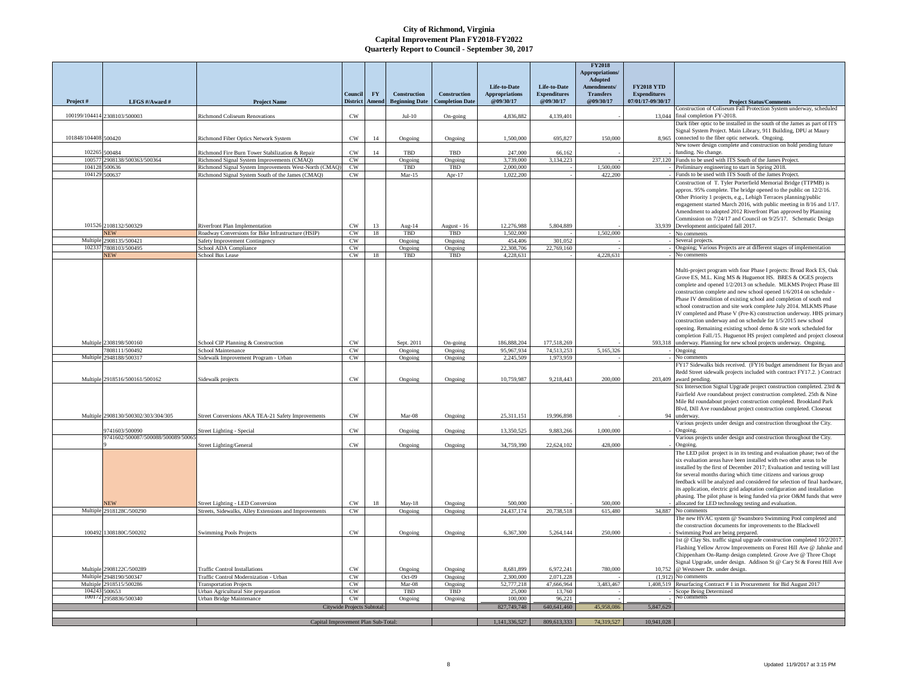|                      |                                           |                                                                                                    |                             |                    |                                       |                                        |                                                    |                                                  | <b>FY2018</b><br><b>Appropriations</b><br>Adopted |                                                               |                                                                                                                                                                                                                                                                                                                                                                                                                                                                                                                                                                                                                                                                                                                  |
|----------------------|-------------------------------------------|----------------------------------------------------------------------------------------------------|-----------------------------|--------------------|---------------------------------------|----------------------------------------|----------------------------------------------------|--------------------------------------------------|---------------------------------------------------|---------------------------------------------------------------|------------------------------------------------------------------------------------------------------------------------------------------------------------------------------------------------------------------------------------------------------------------------------------------------------------------------------------------------------------------------------------------------------------------------------------------------------------------------------------------------------------------------------------------------------------------------------------------------------------------------------------------------------------------------------------------------------------------|
|                      | LFGS #/Award #                            |                                                                                                    | Council<br><b>District</b>  | <b>FY</b><br>Ameno | Construction<br><b>Beginning Date</b> | Construction<br><b>Completion Date</b> | Life-to-Date<br><b>Appropriations</b><br>@09/30/17 | Life-to-Date<br><b>Expenditures</b><br>@09/30/17 | Amendments/<br><b>Transfers</b><br>@09/30/17      | <b>FY2018 YTD</b><br><b>Expenditures</b><br>07/01/17-09/30/17 |                                                                                                                                                                                                                                                                                                                                                                                                                                                                                                                                                                                                                                                                                                                  |
| Project#             |                                           | <b>Project Name</b>                                                                                |                             |                    |                                       |                                        |                                                    |                                                  |                                                   |                                                               | <b>Project Status/Comments</b><br>Construction of Coliseum Fall Protection System underway, scheduled                                                                                                                                                                                                                                                                                                                                                                                                                                                                                                                                                                                                            |
|                      | 100199/104414 2308103/500003              | Richmond Coliseum Renovations                                                                      | CW                          |                    | $Jul-10$                              | On-going                               | 4,836,882                                          | 4,139,401                                        |                                                   | 13,044                                                        | final completion FY-2018.<br>Dark fiber optic to be installed in the south of the James as part of ITS                                                                                                                                                                                                                                                                                                                                                                                                                                                                                                                                                                                                           |
|                      |                                           |                                                                                                    |                             |                    |                                       |                                        |                                                    |                                                  |                                                   |                                                               | Signal System Project. Main Library, 911 Building, DPU at Maury                                                                                                                                                                                                                                                                                                                                                                                                                                                                                                                                                                                                                                                  |
| 101848/104408 500420 |                                           | Richmond Fiber Optics Network System                                                               | CW                          | 14                 | Ongoing                               | Ongoing                                | 1,500,000                                          | 695.827                                          | 150,000                                           | 8.965                                                         | connected to the fiber optic network. Ongoing.<br>New tower design complete and construction on hold pending future                                                                                                                                                                                                                                                                                                                                                                                                                                                                                                                                                                                              |
| 102265<br>10057      | 500484<br>2908138/500363/500364           | Richmond Fire Burn Tower Stabilization & Repair                                                    | CW<br>CW                    | 14                 | TBD                                   | TBD                                    | 247,000<br>3,739,000                               | 66,162                                           |                                                   |                                                               | funding. No change.<br>237.120 Funds to be used with ITS South of the James Project.                                                                                                                                                                                                                                                                                                                                                                                                                                                                                                                                                                                                                             |
| 10412                | 600636                                    | Richmond Signal System Improvements (CMAQ)<br>kichmond Signal System Improvements West-North (CMAQ | CW                          |                    | Ongoing<br>TBD                        | Ongoing<br>TBD                         | 2,000,000                                          | 3,134,223                                        | 1,500,000                                         |                                                               | Preliminary engineering to start in Spring 2018.                                                                                                                                                                                                                                                                                                                                                                                                                                                                                                                                                                                                                                                                 |
| 104129               | 500637                                    | Richmond Signal System South of the James (CMAQ)                                                   | CW                          |                    | $Mar-15$                              | Apr- $17$                              | 1.022.200                                          |                                                  | 422,200                                           |                                                               | Funds to be used with ITS South of the James Project.                                                                                                                                                                                                                                                                                                                                                                                                                                                                                                                                                                                                                                                            |
|                      | 101526 2108132/500329                     | Riverfront Plan Implementation                                                                     | CW                          | 13                 | Aug-14                                | August - 16                            | 12,276,988                                         | 5,804,889                                        |                                                   | 33 939                                                        | Construction of T. Tyler Porterfield Memorial Bridge (TTPMB) is<br>approx. 95% complete. The bridge opened to the public on 12/2/16.<br>Other Priority 1 projects, e.g., Lehigh Terraces planning/public<br>engagement started March 2016, with public meeting in 8/16 and 1/17.<br>Amendment to adopted 2012 Riverfront Plan approved by Planning<br>Commission on 7/24/17 and Council on 9/25/17. Schematic Design<br>Development anticipated fall 2017.                                                                                                                                                                                                                                                       |
|                      | <b>NEW</b>                                | Roadway Conversions for Bike Infrastructure (HSIP)                                                 | CW                          | 18                 | TBD                                   | <b>TBD</b>                             | 1,502,000                                          |                                                  | 1,502,000                                         |                                                               | No comments                                                                                                                                                                                                                                                                                                                                                                                                                                                                                                                                                                                                                                                                                                      |
| Multiple<br>10233    | 2908135/500421                            | Safety Improvement Contingency                                                                     | CW                          |                    | Ongoing                               | Ongoing                                | 454,406                                            | 301,052                                          |                                                   |                                                               | Several projects.                                                                                                                                                                                                                                                                                                                                                                                                                                                                                                                                                                                                                                                                                                |
|                      | 7808103/500495<br><b>NEW</b>              | School ADA Compliance<br>School Bus Lease                                                          | CW<br>CW                    | 18                 | Ongoing<br>TBD                        | Ongoing<br>TBD                         | 22,308,706<br>4,228,631                            | 22,769,160                                       | 4,228,631                                         |                                                               | Ongoing; Various Projects are at different stages of implementation<br>No comments                                                                                                                                                                                                                                                                                                                                                                                                                                                                                                                                                                                                                               |
|                      |                                           |                                                                                                    |                             |                    |                                       |                                        |                                                    |                                                  |                                                   |                                                               | Multi-project program with four Phase I projects: Broad Rock ES, Oak<br>Grove ES, M.L. King MS & Huguenot HS. BRES & OGES projects<br>complete and opened 1/2/2013 on schedule. MLKMS Project Phase III<br>construction complete and new school opened 1/6/2014 on schedule -<br>Phase IV demolition of existing school and completion of south end<br>school construction and site work complete July 2014. MLKMS Phase<br>IV completed and Phase V (Pre-K) construction underway. HHS primary<br>construction underway and on schedule for 1/5/2015 new school<br>opening. Remaining existing school demo & site work scheduled for<br>completion Fall./15. Huguenot HS project completed and project closeout |
|                      | Multiple 2308198/500160                   | School CIP Planning & Construction                                                                 | CW                          |                    | Sept. 2011                            | On-going                               | 186,888,204                                        | 177,518,269                                      |                                                   | 593,318                                                       | underway. Planning for new school projects underway. Ongoing.                                                                                                                                                                                                                                                                                                                                                                                                                                                                                                                                                                                                                                                    |
| Multiple             | 7808111/500492<br>2948188/500317          | School Maintenance<br>Sidewalk Improvement Program - Urban                                         | CW<br>CW                    |                    | Ongoing<br>Ongoing                    | Ongoing<br>Ongoing                     | 95,967,934<br>2.245.509                            | 74,513,253<br>1.973.959                          | 5,165,326                                         |                                                               | Ongoing<br>No comments                                                                                                                                                                                                                                                                                                                                                                                                                                                                                                                                                                                                                                                                                           |
|                      | Multiple 2918516/500161/500162            | Sidewalk projects                                                                                  | CW                          |                    | Ongoing                               | Ongoing                                | 10,759,987                                         | 9,218,443                                        | 200,000                                           | 203,409                                                       | FY17 Sidewalks bids received. (FY16 budget amendment for Bryan and<br>Redd Street sidewalk projects included with contract FY17.2. ) Contract<br>award pending.                                                                                                                                                                                                                                                                                                                                                                                                                                                                                                                                                  |
|                      | Multiple 2908130/500302/303/304/305       | Street Conversions AKA TEA-21 Safety Improvements                                                  | CW                          |                    | Mar-08                                | Ongoing                                | 25.311.151                                         | 19,996,898                                       |                                                   | 94                                                            | Six Intersection Signal Upgrade project construction completed. 23rd &<br>Fairfield Ave roundabout project construction completed. 25th & Nine<br>Mile Rd roundabout project construction completed. Brookland Park<br>Blvd, Dill Ave roundabout project construction completed. Closeout<br>underway.<br>Various projects under design and construction throughout the City.                                                                                                                                                                                                                                                                                                                                    |
|                      | 9741603/500090                            | Street Lighting - Special                                                                          | CW                          |                    | Ongoing                               | Ongoing                                | 13.350.525                                         | 9,883,266                                        | 1,000,000                                         |                                                               | Ongoing,                                                                                                                                                                                                                                                                                                                                                                                                                                                                                                                                                                                                                                                                                                         |
|                      | 9741602/500087/500088/500089/5006         | <b>Street Lighting/General</b>                                                                     | CW                          |                    | Ongoing                               | Ongoing                                | 34,759,390                                         | 22,624,102                                       | 428,000                                           |                                                               | Various projects under design and construction throughout the City.<br>Ongoing.                                                                                                                                                                                                                                                                                                                                                                                                                                                                                                                                                                                                                                  |
|                      | VEW                                       | Street Lighting - LED Conversion                                                                   | CW                          | 18                 | $May-18$                              | Ongoing                                | 500,000                                            |                                                  | 500,000                                           |                                                               | The LED pilot project is in its testing and evaluation phase; two of the<br>six evaluation areas have been installed with two other areas to be<br>installed by the first of December 2017; Evaluation and testing will last<br>for several months during which time citizens and various group<br>feedback will be analyzed and considered for selection of final hardware,<br>its application, electric grid adaptation configuration and installation<br>phasing. The pilot phase is being funded via prior O&M funds that were<br>allocated for LED technology testing and evaluation.                                                                                                                       |
|                      | Multiple 2918128C/500290                  | Streets, Sidewalks, Alley Extensions and Improvements                                              | CW                          |                    | Ongoing                               | Ongoing                                | 24,437,174                                         | 20,738,518                                       | 615.480                                           |                                                               | 34,887 No comments                                                                                                                                                                                                                                                                                                                                                                                                                                                                                                                                                                                                                                                                                               |
|                      | 100492 1308180C/500202                    | <b>Swimming Pools Projects</b>                                                                     | CW                          |                    | Ongoing                               | Ongoing                                | 6,367,300                                          | 5,264,144                                        | 250,000                                           |                                                               | The new HVAC system @ Swansboro Swimming Pool completed and<br>the construction documents for improvements to the Blackwell<br>Swimming Pool are being prepared.<br>1st @ Clay Sts. traffic signal upgrade construction completed 10/2/2017.<br>Flashing Yellow Arrow Improvements on Forest Hill Ave @ Jahnke and                                                                                                                                                                                                                                                                                                                                                                                               |
| Multiple             | 2908122C/500289                           | Traffic Control Installations                                                                      | CW                          |                    | Ongoing                               | Ongoing                                | 8.681.899                                          | 6.972.241                                        | 780,000                                           | 10.752                                                        | Chippenham On-Ramp design completed. Grove Ave @ Three Chopt<br>Signal Upgrade, under design. Addison St @ Cary St & Forest Hill Ave<br>@ Westower Dr. under design.                                                                                                                                                                                                                                                                                                                                                                                                                                                                                                                                             |
| Multiple             | Multiple 2948190/500347<br>2918515/500286 | <b>Traffic Control Modernization - Urban</b><br><b>Transportation Projects</b>                     | CW<br>CW                    |                    | $Oct-09$<br>Mar-08                    | Ongoing<br>Ongoing                     | 2,300,000<br>52,777,218                            | 2,071,228<br>47,666,964                          | 3,483,467                                         | (1.912)<br>1,408,519                                          | Vo comments<br>esurfacing Contract #1 in Procurement for Bid August 2017                                                                                                                                                                                                                                                                                                                                                                                                                                                                                                                                                                                                                                         |
| 104243               | 500653                                    | Jrban Agricultural Site preparation                                                                | CW                          |                    | TBD                                   | TBD                                    | 25,000                                             | 13.760                                           |                                                   |                                                               | Scope Being Determined                                                                                                                                                                                                                                                                                                                                                                                                                                                                                                                                                                                                                                                                                           |
|                      | 100172 2958836/500340                     | Urban Bridge Maintenance                                                                           | CW                          |                    | Ongoing                               | Ongoing                                | 100,000                                            | 96.221                                           |                                                   |                                                               |                                                                                                                                                                                                                                                                                                                                                                                                                                                                                                                                                                                                                                                                                                                  |
|                      |                                           |                                                                                                    | Citywide Projects Subtotal: |                    |                                       |                                        | 827,749,748                                        | 640,641,460                                      | 45,958,086                                        | 5,847,629                                                     |                                                                                                                                                                                                                                                                                                                                                                                                                                                                                                                                                                                                                                                                                                                  |
|                      |                                           | Capital Improvement Plan Sub-Total:                                                                |                             |                    |                                       |                                        | 1.141.336.527                                      | 809,613,333                                      | 74,319,527                                        | 10,941,028                                                    |                                                                                                                                                                                                                                                                                                                                                                                                                                                                                                                                                                                                                                                                                                                  |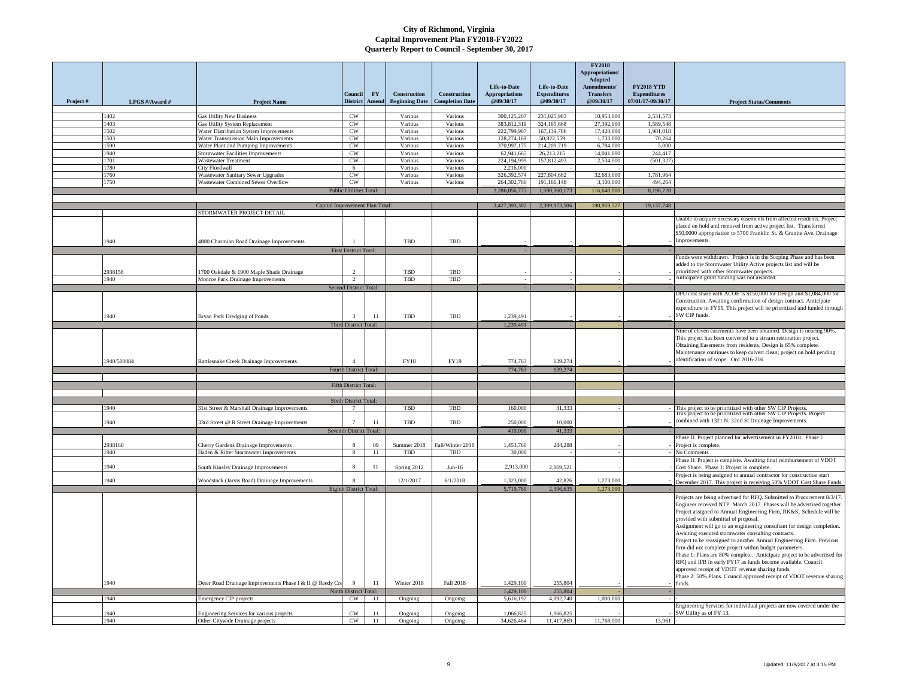| Project# | LFGS #/Award #  | <b>Project Name</b>                                                           | Council<br><b>District</b>     | FY<br>Amend | Construction<br><b>Beginning Date</b> | Construction<br><b>Completion Date</b> | Life-to-Date<br><b>Appropriations</b><br>@09/30/17 | Life-to-Date<br><b>Expenditures</b><br>@09/30/17 | <b>FY2018</b><br><b>Appropriations</b><br>Adopted<br>Amendments/<br><b>Transfers</b><br>@09/30/17 | <b>FY2018 YTD</b><br><b>Expenditures</b><br>07/01/17-09/30/17 | <b>Project Status/Comments</b>                                                                                                                                                                                                                                                                                                                                                                                                                                                                                                                                                                                                                                                                                                   |
|----------|-----------------|-------------------------------------------------------------------------------|--------------------------------|-------------|---------------------------------------|----------------------------------------|----------------------------------------------------|--------------------------------------------------|---------------------------------------------------------------------------------------------------|---------------------------------------------------------------|----------------------------------------------------------------------------------------------------------------------------------------------------------------------------------------------------------------------------------------------------------------------------------------------------------------------------------------------------------------------------------------------------------------------------------------------------------------------------------------------------------------------------------------------------------------------------------------------------------------------------------------------------------------------------------------------------------------------------------|
|          |                 |                                                                               |                                |             |                                       |                                        |                                                    |                                                  |                                                                                                   |                                                               |                                                                                                                                                                                                                                                                                                                                                                                                                                                                                                                                                                                                                                                                                                                                  |
|          | 1402            | <b>Gas Utility New Business</b>                                               | <b>CW</b>                      |             | Various                               | Various                                | 300,125,207                                        | 231,025,983                                      | 10.953.000                                                                                        | 2,531,573                                                     |                                                                                                                                                                                                                                                                                                                                                                                                                                                                                                                                                                                                                                                                                                                                  |
|          | 1403            | Gas Utility System Replacement                                                | CW                             |             | Various                               | Various                                | 383,812,319                                        | 324,165,668                                      | 27,392,000                                                                                        | 1.589,548                                                     |                                                                                                                                                                                                                                                                                                                                                                                                                                                                                                                                                                                                                                                                                                                                  |
|          | 1502            | Water Distribution System Improvements                                        | <b>CW</b>                      |             | Various                               | Various                                | 222,799,907                                        | 167, 139, 706                                    | 17,420,000                                                                                        | 1,981,018                                                     |                                                                                                                                                                                                                                                                                                                                                                                                                                                                                                                                                                                                                                                                                                                                  |
|          | 1503<br>1590    | Water Transmission Main Improvements                                          | CW<br>CW                       |             | Various<br>Various                    | Various<br>Various                     | 128,274,169<br>370,997,175                         | 50,822,559<br>214,209,719                        | 1,733,000<br>6,784,000                                                                            | 70,264<br>5,000                                               |                                                                                                                                                                                                                                                                                                                                                                                                                                                                                                                                                                                                                                                                                                                                  |
|          | 1940            | Water Plant and Pumping Improvements<br>Stormwater Facilities Improvements    | CW                             |             | Various                               | Various                                | 62,941,665                                         | 26,213,215                                       | 14,041,000                                                                                        | 244,417                                                       |                                                                                                                                                                                                                                                                                                                                                                                                                                                                                                                                                                                                                                                                                                                                  |
|          | 1701            | Wastewater Treatment                                                          | CW                             |             | Various                               | Various                                | 224,194,999                                        | 157,812,493                                      | 2,534,000                                                                                         | (501, 327)                                                    |                                                                                                                                                                                                                                                                                                                                                                                                                                                                                                                                                                                                                                                                                                                                  |
|          | 1780            | <b>City Floodwall</b>                                                         | 6                              |             | Various                               | Various                                | 2,216,000                                          |                                                  |                                                                                                   |                                                               |                                                                                                                                                                                                                                                                                                                                                                                                                                                                                                                                                                                                                                                                                                                                  |
|          | 1760            | Wastewater Sanitary Sewer Upgrades                                            | CW                             |             | Various                               | Various                                | 326,392,574                                        | 227,804,682                                      | 32,683,000                                                                                        | 1,781,964                                                     |                                                                                                                                                                                                                                                                                                                                                                                                                                                                                                                                                                                                                                                                                                                                  |
|          | 1750            | Wastewater Combined Sewer Overflow                                            | <b>CW</b>                      |             | Various                               | Various                                | 264,302,760                                        | 191,166,148                                      | 3.100,000                                                                                         | 494.264                                                       |                                                                                                                                                                                                                                                                                                                                                                                                                                                                                                                                                                                                                                                                                                                                  |
|          |                 |                                                                               | <b>Public Utilities Total:</b> |             |                                       |                                        | 2,286,056,775                                      | 1,590,360,173                                    | 116,640,000                                                                                       | 8,196,720                                                     |                                                                                                                                                                                                                                                                                                                                                                                                                                                                                                                                                                                                                                                                                                                                  |
|          |                 |                                                                               |                                |             |                                       |                                        |                                                    |                                                  |                                                                                                   |                                                               |                                                                                                                                                                                                                                                                                                                                                                                                                                                                                                                                                                                                                                                                                                                                  |
|          |                 | Capital Improvement Plan Total                                                |                                |             |                                       |                                        | 3,427,393,302                                      | 2,399,973,506                                    | 190,959,527                                                                                       | 19,137,748                                                    |                                                                                                                                                                                                                                                                                                                                                                                                                                                                                                                                                                                                                                                                                                                                  |
|          | 1940            | STORMWATER PROJECT DETAIL<br>4800 Charmian Road Drainage Improvements         |                                |             | TBD                                   | TBD                                    |                                                    |                                                  |                                                                                                   |                                                               | Unable to acquire necessary easements from affected residents. Project<br>placed on hold and removed from active project list. Transferred<br>\$50,0000 appropriation to 5700 Franklin St. & Granite Ave. Drainage<br>Improvements.                                                                                                                                                                                                                                                                                                                                                                                                                                                                                              |
|          |                 |                                                                               | <b>First District Total:</b>   |             |                                       |                                        |                                                    |                                                  |                                                                                                   |                                                               |                                                                                                                                                                                                                                                                                                                                                                                                                                                                                                                                                                                                                                                                                                                                  |
|          | 2938158<br>1940 | 1700 Oakdale & 1900 Maple Shade Drainage<br>Monroe Park Drainage Improvements | $\overline{2}$                 |             | TBD<br>TBD                            | TBD<br>TBD                             |                                                    |                                                  |                                                                                                   |                                                               | Funds were withdrawn. Project is in the Scoping Phase and has been<br>added to the Stormwater Utility Active projects list and will be<br>prioritized with other Stormwater projects.<br>Anticipated grant funding was not awarded                                                                                                                                                                                                                                                                                                                                                                                                                                                                                               |
|          |                 |                                                                               | Second District Total:         |             |                                       |                                        |                                                    |                                                  |                                                                                                   |                                                               |                                                                                                                                                                                                                                                                                                                                                                                                                                                                                                                                                                                                                                                                                                                                  |
|          | 1940            | Bryan Park Dredging of Ponds                                                  | $\overline{\mathbf{3}}$        | 11          | TBD                                   | TBD                                    | 1.239.491                                          |                                                  |                                                                                                   |                                                               | DPU cost share with ACOE is \$150,000 for Design and \$1,084,000 for<br>Construction. Awaiting confirmation of design contract. Anticipate<br>expenditure in FY15. This project will be prioritized and funded through<br>SW CIP funds.                                                                                                                                                                                                                                                                                                                                                                                                                                                                                          |
|          |                 |                                                                               | Third District Total:          |             |                                       |                                        | 1,239,491                                          |                                                  |                                                                                                   |                                                               | Nine of eleven easements have been obtained. Design is nearing 90%.                                                                                                                                                                                                                                                                                                                                                                                                                                                                                                                                                                                                                                                              |
|          | 1940/500084     | Rattlesnake Creek Drainage Improvements                                       | $\Lambda$                      |             | <b>FY18</b>                           | FY19                                   | 774,763                                            | 139,274                                          |                                                                                                   |                                                               | This project has been converted to a stream restoration project.<br>Obtaining Easements from residents. Design is 65% complete.<br>Maintenance continues to keep culvert clean; project on hold pending<br>identification of scope. Ord 2016-216                                                                                                                                                                                                                                                                                                                                                                                                                                                                                 |
|          |                 |                                                                               | Fourth District Total:         |             |                                       |                                        | 774,763                                            | 139,274                                          |                                                                                                   |                                                               |                                                                                                                                                                                                                                                                                                                                                                                                                                                                                                                                                                                                                                                                                                                                  |
|          |                 |                                                                               | Fifth District Total:          |             |                                       |                                        |                                                    |                                                  |                                                                                                   |                                                               |                                                                                                                                                                                                                                                                                                                                                                                                                                                                                                                                                                                                                                                                                                                                  |
|          |                 |                                                                               |                                |             |                                       |                                        |                                                    |                                                  |                                                                                                   |                                                               |                                                                                                                                                                                                                                                                                                                                                                                                                                                                                                                                                                                                                                                                                                                                  |
|          |                 |                                                                               | Sixth District Total:          |             |                                       |                                        |                                                    |                                                  |                                                                                                   |                                                               |                                                                                                                                                                                                                                                                                                                                                                                                                                                                                                                                                                                                                                                                                                                                  |
|          | 1940            | 31st Street & Marshall Drainage Improvements                                  |                                |             | TBD                                   | TBD                                    | 160,000                                            | 31,333                                           |                                                                                                   |                                                               | This project to be prioritized with other SW CIP Projects                                                                                                                                                                                                                                                                                                                                                                                                                                                                                                                                                                                                                                                                        |
|          |                 |                                                                               |                                |             |                                       |                                        |                                                    |                                                  |                                                                                                   |                                                               | This project to be prioritized with other SW CIP Projects. Project                                                                                                                                                                                                                                                                                                                                                                                                                                                                                                                                                                                                                                                               |
|          | 1940            | 33rd Street @ R Street Drainage Improvements                                  | $7\phantom{.0}$                | 11          | TBD                                   | TBD                                    | 250.000                                            | 10.000                                           |                                                                                                   |                                                               | combined with 1321 N. 32nd St Drainage Improvements.                                                                                                                                                                                                                                                                                                                                                                                                                                                                                                                                                                                                                                                                             |
|          |                 |                                                                               | Seventh District Total:        |             |                                       |                                        | 410,000                                            | 41,333                                           |                                                                                                   |                                                               |                                                                                                                                                                                                                                                                                                                                                                                                                                                                                                                                                                                                                                                                                                                                  |
|          | 2938160         | Cherry Gardens Drainage Improvements                                          | 8                              | 09          | Summer 2018                           | Fall/Winter 2018                       | 1,453,760                                          | 284,288                                          |                                                                                                   |                                                               | Phase II: Project planned for advertisement in FY2018. Phase I:<br>Project is complete.                                                                                                                                                                                                                                                                                                                                                                                                                                                                                                                                                                                                                                          |
|          | 1940            | Haden & Ritter Stormwater Improvements                                        | 8                              | 11          | TBD                                   | TBD                                    | 30,000                                             |                                                  |                                                                                                   |                                                               | No Comments                                                                                                                                                                                                                                                                                                                                                                                                                                                                                                                                                                                                                                                                                                                      |
|          |                 |                                                                               |                                |             |                                       |                                        |                                                    |                                                  |                                                                                                   |                                                               | Phase II: Project is complete. Awaiting final reimbursement of VDOT                                                                                                                                                                                                                                                                                                                                                                                                                                                                                                                                                                                                                                                              |
|          | 1940            | South Kinsley Drainage Improvements                                           | $\overline{\mathbf{8}}$        | 11          | Spring 2012                           | $Jun-16$                               | 2,913,000                                          | 2,069,521                                        |                                                                                                   |                                                               | Cost Share. Phase 1: Project is complete.                                                                                                                                                                                                                                                                                                                                                                                                                                                                                                                                                                                                                                                                                        |
|          |                 |                                                                               | $\mathbf{8}$                   |             |                                       |                                        |                                                    |                                                  |                                                                                                   |                                                               | Project is being assigned to annual contractor for construction start                                                                                                                                                                                                                                                                                                                                                                                                                                                                                                                                                                                                                                                            |
|          | 1940            | Woodstock (Jarvis Road) Drainage Improvements                                 | Eighth District Total:         |             | 12/1/2017                             | 6/1/2018                               | 1,323,000<br>5,719,760                             | 42,826<br>2,396,635                              | 1,273,000<br>1,273,000                                                                            |                                                               | December 2017. This project is receiving 50% VDOT Cost Share Funds                                                                                                                                                                                                                                                                                                                                                                                                                                                                                                                                                                                                                                                               |
|          |                 |                                                                               |                                |             |                                       |                                        |                                                    |                                                  |                                                                                                   |                                                               | Projects are being advertised for RFQ. Submitted to Procurement 8/3/17.                                                                                                                                                                                                                                                                                                                                                                                                                                                                                                                                                                                                                                                          |
|          |                 |                                                                               |                                |             |                                       |                                        |                                                    |                                                  |                                                                                                   |                                                               | Engineer received NTP: March 2017. Phases will be advertised together.<br>Project assigned to Annual Engineering Firm, RK&K. Schedule will be<br>provided with submittal of proposal.<br>Assignment will go to an engineering consultant for design completion.<br>Awaiting executed stormwater consulting contracts.<br>Project to be reassigned to another Annual Engineering Firm. Previous<br>firm did not complete project within budget parameters.<br>Phase 1: Plans are 80% complete. Anticipate project to be advertised for<br>RFQ and IFB in early FY17 as funds become available. Council<br>approved receipt of VDOT revenue sharing funds.<br>Phase 2: 50% Plans. Council approved receipt of VDOT revenue sharing |
|          | 1940            | Deter Road Drainage Improvements Phase I & II @ Reedy Cre                     | 9                              | 11          | Winter 2018                           | Fall 2018                              | 1,429,100                                          | 255,804                                          |                                                                                                   |                                                               | funds                                                                                                                                                                                                                                                                                                                                                                                                                                                                                                                                                                                                                                                                                                                            |
|          |                 |                                                                               | Ninth District Total:          |             |                                       |                                        | 1,429,100                                          | 255,804                                          |                                                                                                   |                                                               |                                                                                                                                                                                                                                                                                                                                                                                                                                                                                                                                                                                                                                                                                                                                  |
|          | 1940            | <b>Emergency CIP</b> projects                                                 | CW                             | 11          | Ongoing                               | Ongoing                                | 5,616,192                                          | 4,092,740                                        | 1,000,000                                                                                         |                                                               | Engineering Services for individual projects are now covered under the                                                                                                                                                                                                                                                                                                                                                                                                                                                                                                                                                                                                                                                           |
|          | 1940            | Engineering Services for various projects                                     | CW                             | 11          | Ongoing                               | Ongoing                                | 1,066,825                                          | 1,066,825                                        |                                                                                                   |                                                               | SW Utility as of FY 13.                                                                                                                                                                                                                                                                                                                                                                                                                                                                                                                                                                                                                                                                                                          |
|          | 1940            | Other Citywide Drainage projects                                              | CW                             | 11          | Ongoing                               | Ongoing                                | 34,626,464                                         | 11,417,869                                       | 11,768,000                                                                                        | 13,961                                                        |                                                                                                                                                                                                                                                                                                                                                                                                                                                                                                                                                                                                                                                                                                                                  |